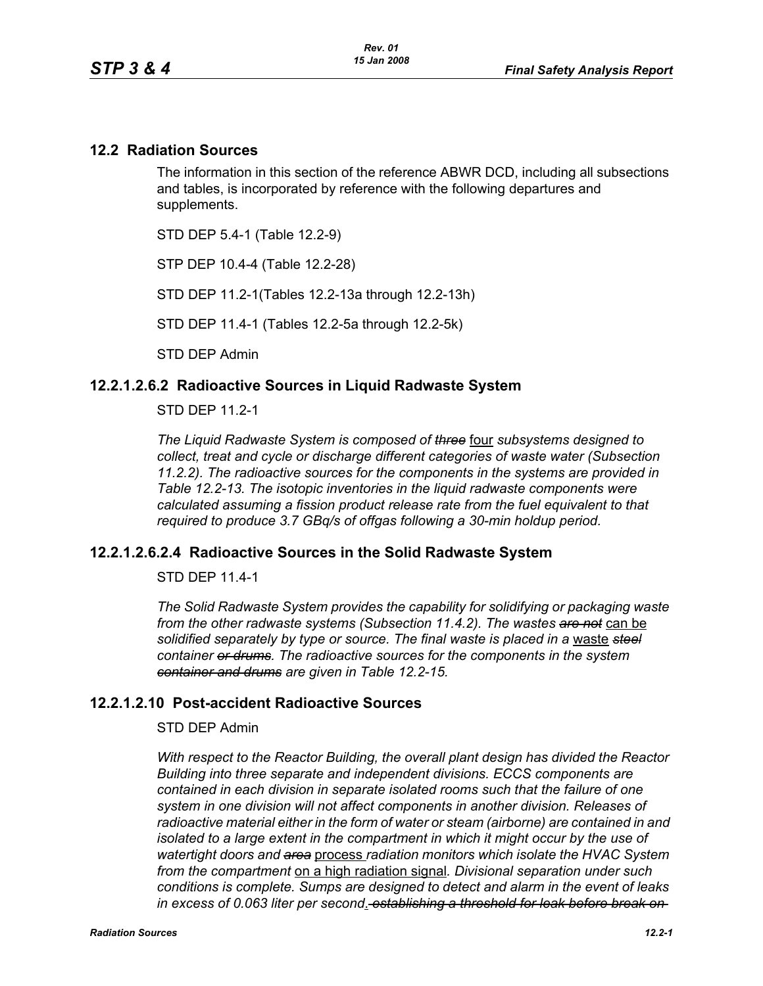## **12.2 Radiation Sources**

The information in this section of the reference ABWR DCD, including all subsections and tables, is incorporated by reference with the following departures and supplements.

STD DEP 5.4-1 (Table 12.2-9)

STP DEP 10.4-4 (Table 12.2-28)

STD DEP 11.2-1(Tables 12.2-13a through 12.2-13h)

STD DEP 11.4-1 (Tables 12.2-5a through 12.2-5k)

STD DEP Admin

## **12.2.1.2.6.2 Radioactive Sources in Liquid Radwaste System**

STD DEP 11.2-1

*The Liquid Radwaste System is composed of three* four *subsystems designed to collect, treat and cycle or discharge different categories of waste water (Subsection 11.2.2). The radioactive sources for the components in the systems are provided in Table 12.2-13. The isotopic inventories in the liquid radwaste components were calculated assuming a fission product release rate from the fuel equivalent to that required to produce 3.7 GBq/s of offgas following a 30-min holdup period.* 

### **12.2.1.2.6.2.4 Radioactive Sources in the Solid Radwaste System**

STD DEP 11.4-1

*The Solid Radwaste System provides the capability for solidifying or packaging waste from the other radwaste systems (Subsection 11.4.2). The wastes are not* can be solidified separately by type or source. The final waste is placed in a waste steel *container or drums. The radioactive sources for the components in the system container and drums are given in Table 12.2-15.*

### **12.2.1.2.10 Post-accident Radioactive Sources**

#### STD DEP Admin

*With respect to the Reactor Building, the overall plant design has divided the Reactor Building into three separate and independent divisions. ECCS components are contained in each division in separate isolated rooms such that the failure of one system in one division will not affect components in another division. Releases of radioactive material either in the form of water or steam (airborne) are contained in and isolated to a large extent in the compartment in which it might occur by the use of watertight doors and area* process *radiation monitors which isolate the HVAC System from the compartment* on a high radiation signal*. Divisional separation under such conditions is complete. Sumps are designed to detect and alarm in the event of leaks in excess of 0.063 liter per second*. *establishing a threshold for leak before break on*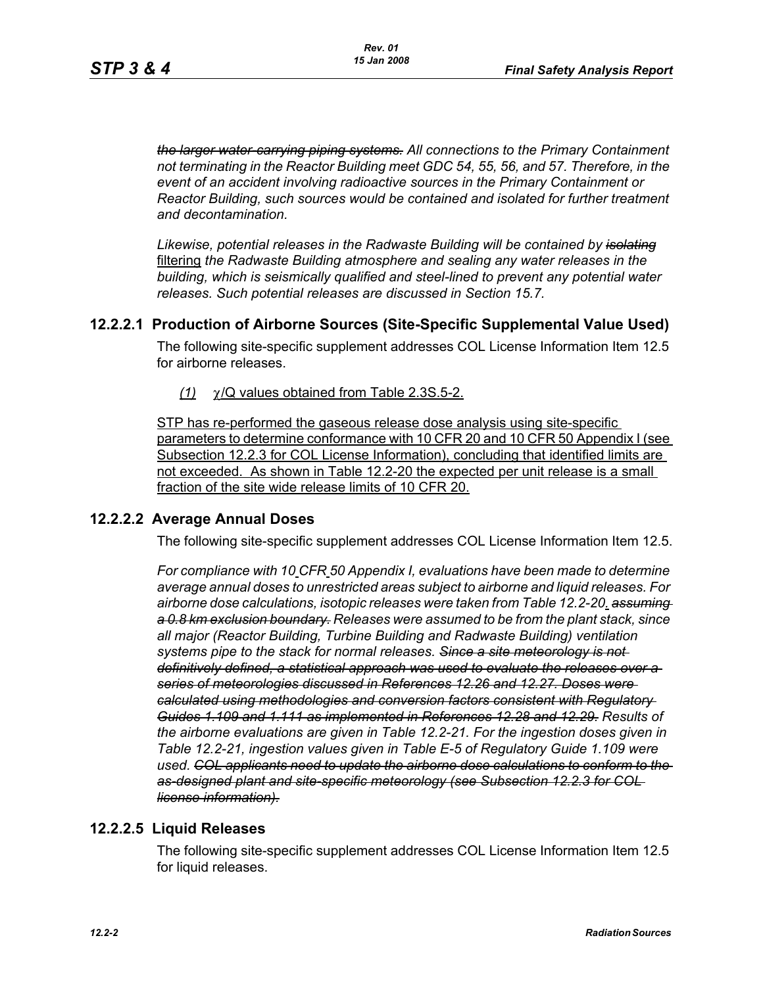*the larger water-carrying piping systems. All connections to the Primary Containment not terminating in the Reactor Building meet GDC 54, 55, 56, and 57. Therefore, in the event of an accident involving radioactive sources in the Primary Containment or Reactor Building, such sources would be contained and isolated for further treatment and decontamination.*

*Likewise, potential releases in the Radwaste Building will be contained by isolating* filtering *the Radwaste Building atmosphere and sealing any water releases in the building, which is seismically qualified and steel-lined to prevent any potential water releases. Such potential releases are discussed in Section 15.7.* 

### **12.2.2.1 Production of Airborne Sources (Site-Specific Supplemental Value Used)**

The following site-specific supplement addresses COL License Information Item 12.5 for airborne releases.

*(1)* χ/Q values obtained from Table 2.3S.5-2.

STP has re-performed the gaseous release dose analysis using site-specific parameters to determine conformance with 10 CFR 20 and 10 CFR 50 Appendix I (see Subsection 12.2.3 for COL License Information), concluding that identified limits are not exceeded. As shown in Table 12.2-20 the expected per unit release is a small fraction of the site wide release limits of 10 CFR 20.

### **12.2.2.2 Average Annual Doses**

The following site-specific supplement addresses COL License Information Item 12.5.

*For compliance with 10 CFR 50 Appendix I, evaluations have been made to determine average annual doses to unrestricted areas subject to airborne and liquid releases. For airborne dose calculations, isotopic releases were taken from Table 12.2-20. assuming a 0.8 km exclusion boundary. Releases were assumed to be from the plant stack, since all major (Reactor Building, Turbine Building and Radwaste Building) ventilation systems pipe to the stack for normal releases. Since a site meteorology is not definitively defined, a statistical approach was used to evaluate the releases over a series of meteorologies discussed in References 12.26 and 12.27. Doses were calculated using methodologies and conversion factors consistent with Regulatory Guides 1.109 and 1.111 as implemented in References 12.28 and 12.29. Results of the airborne evaluations are given in Table 12.2-21. For the ingestion doses given in Table 12.2-21, ingestion values given in Table E-5 of Regulatory Guide 1.109 were used. COL applicants need to update the airborne dose calculations to conform to the as-designed plant and site-specific meteorology (see Subsection 12.2.3 for COL license information).*

### **12.2.2.5 Liquid Releases**

The following site-specific supplement addresses COL License Information Item 12.5 for liquid releases.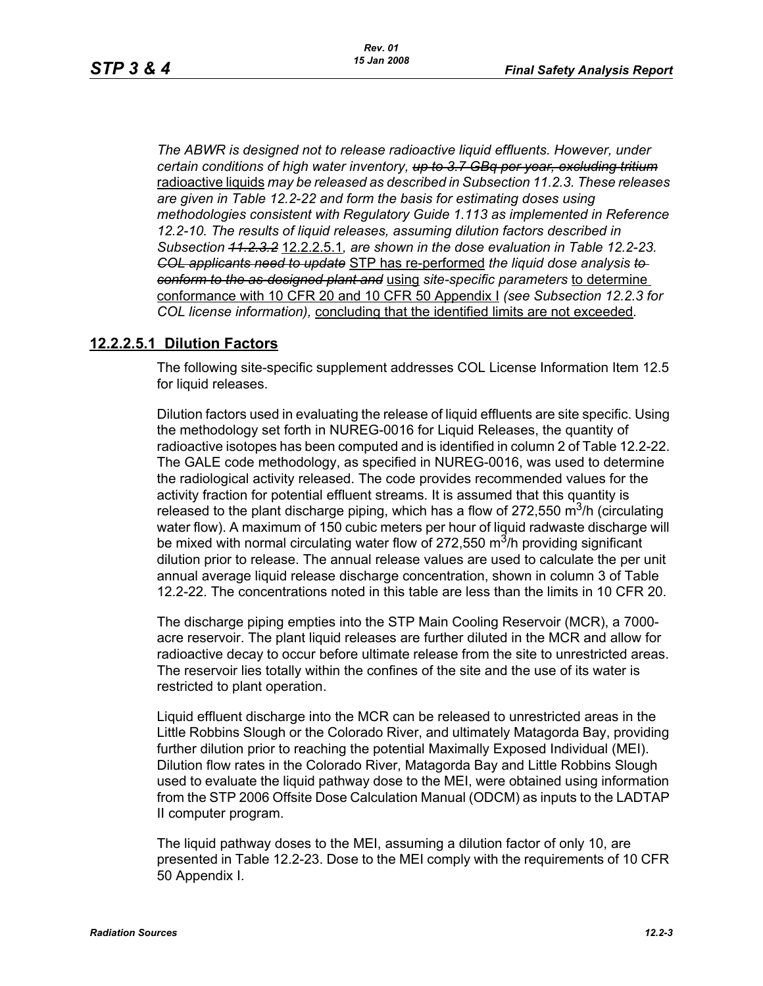*The ABWR is designed not to release radioactive liquid effluents. However, under certain conditions of high water inventory, up to 3.7 GBq per year, excluding tritium* radioactive liquids *may be released as described in Subsection 11.2.3. These releases are given in Table 12.2-22 and form the basis for estimating doses using methodologies consistent with Regulatory Guide 1.113 as implemented in Reference 12.2-10. The results of liquid releases, assuming dilution factors described in Subsection 11.2.3.2* 12.2.2.5.1*, are shown in the dose evaluation in Table 12.2-23. COL applicants need to update* STP has re-performed *the liquid dose analysis to conform to the as-designed plant and* using *site-specific parameters* to determine conformance with 10 CFR 20 and 10 CFR 50 Appendix I *(see Subsection 12.2.3 for COL license information),* concluding that the identified limits are not exceeded*.*

### **12.2.2.5.1 Dilution Factors**

The following site-specific supplement addresses COL License Information Item 12.5 for liquid releases.

Dilution factors used in evaluating the release of liquid effluents are site specific. Using the methodology set forth in NUREG-0016 for Liquid Releases, the quantity of radioactive isotopes has been computed and is identified in column 2 of Table 12.2-22. The GALE code methodology, as specified in NUREG-0016, was used to determine the radiological activity released. The code provides recommended values for the activity fraction for potential effluent streams. It is assumed that this quantity is released to the plant discharge piping, which has a flow of 272,550  $\mathrm{m}^{3}/\mathrm{h}$  (circulating water flow). A maximum of 150 cubic meters per hour of liquid radwaste discharge will be mixed with normal circulating water flow of 272,550  $\mathrm{m}^3$ /h providing significant dilution prior to release. The annual release values are used to calculate the per unit annual average liquid release discharge concentration, shown in column 3 of Table 12.2-22. The concentrations noted in this table are less than the limits in 10 CFR 20.

The discharge piping empties into the STP Main Cooling Reservoir (MCR), a 7000 acre reservoir. The plant liquid releases are further diluted in the MCR and allow for radioactive decay to occur before ultimate release from the site to unrestricted areas. The reservoir lies totally within the confines of the site and the use of its water is restricted to plant operation.

Liquid effluent discharge into the MCR can be released to unrestricted areas in the Little Robbins Slough or the Colorado River, and ultimately Matagorda Bay, providing further dilution prior to reaching the potential Maximally Exposed Individual (MEI). Dilution flow rates in the Colorado River, Matagorda Bay and Little Robbins Slough used to evaluate the liquid pathway dose to the MEI, were obtained using information from the STP 2006 Offsite Dose Calculation Manual (ODCM) as inputs to the LADTAP II computer program.

The liquid pathway doses to the MEI, assuming a dilution factor of only 10, are presented in Table 12.2-23. Dose to the MEI comply with the requirements of 10 CFR 50 Appendix I.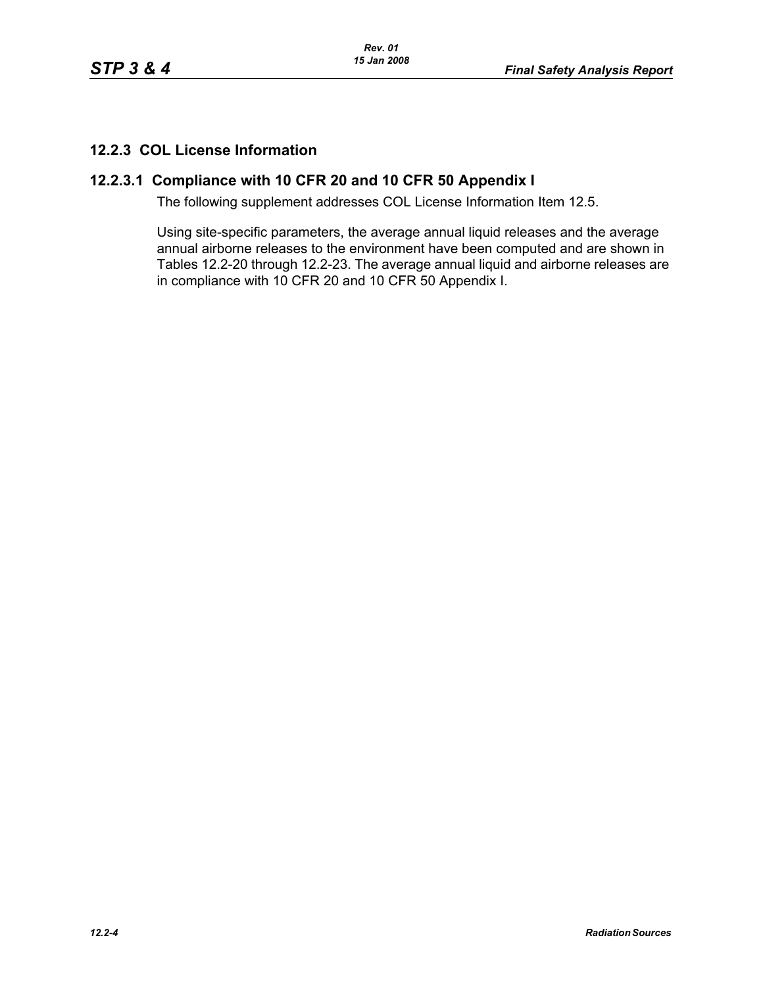# **12.2.3 COL License Information**

# **12.2.3.1 Compliance with 10 CFR 20 and 10 CFR 50 Appendix I**

The following supplement addresses COL License Information Item 12.5.

Using site-specific parameters, the average annual liquid releases and the average annual airborne releases to the environment have been computed and are shown in Tables 12.2-20 through 12.2-23. The average annual liquid and airborne releases are in compliance with 10 CFR 20 and 10 CFR 50 Appendix I.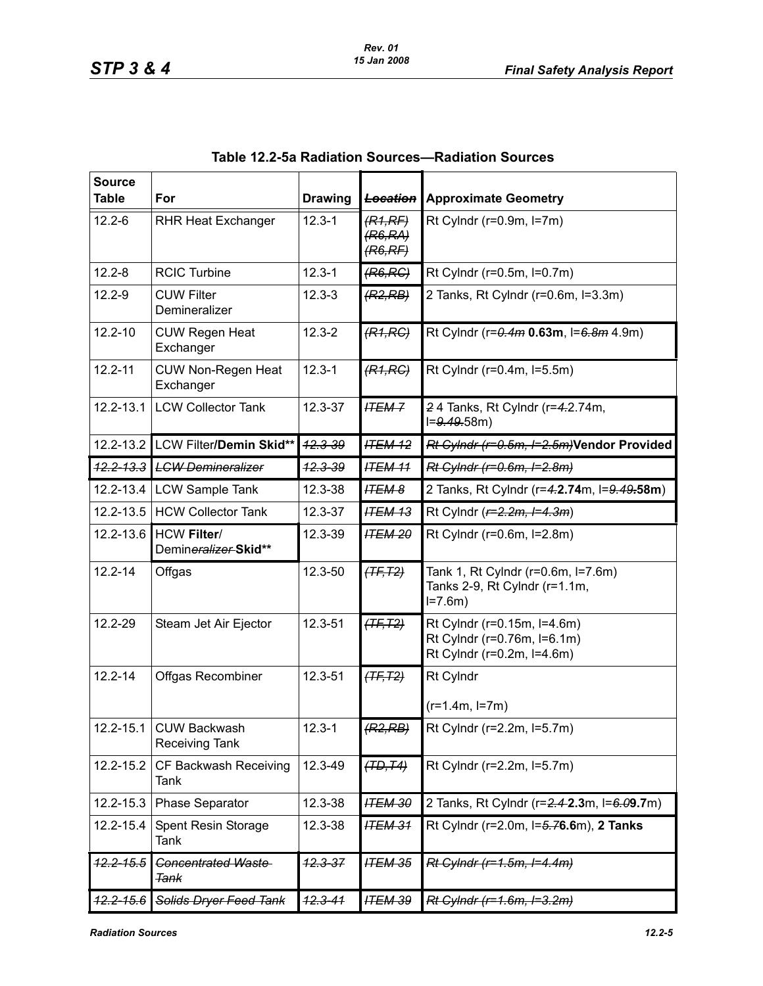| <b>Source</b>        |                                              |                    |                                |                                                                                          |
|----------------------|----------------------------------------------|--------------------|--------------------------------|------------------------------------------------------------------------------------------|
| <b>Table</b>         | For                                          | <b>Drawing</b>     | <b>Location</b>                | <b>Approximate Geometry</b>                                                              |
| $12.2 - 6$           | <b>RHR Heat Exchanger</b>                    | $12.3 - 1$         | (R1,RF)<br>(R6, RA)<br>(R6,RF) | Rt Cylndr (r=0.9m, l=7m)                                                                 |
| $12.2 - 8$           | <b>RCIC Turbine</b>                          | $12.3 - 1$         | (R6, RC)                       | Rt Cylndr ( $r=0.5m$ , $l=0.7m$ )                                                        |
| $12.2 - 9$           | <b>CUW Filter</b><br>Demineralizer           | $12.3 - 3$         | (R2, RB)                       | 2 Tanks, Rt Cylndr (r=0.6m, l=3.3m)                                                      |
| $12.2 - 10$          | <b>CUW Regen Heat</b><br>Exchanger           | $12.3 - 2$         | (R1, RC)                       | Rt Cylndr ( $r = 0.4m$ 0.63m, $l = 6.8m$ 4.9m)                                           |
| $12.2 - 11$          | <b>CUW Non-Regen Heat</b><br>Exchanger       | $12.3 - 1$         | (R1, RC)                       | Rt Cylndr (r=0.4m, l=5.5m)                                                               |
| 12.2-13.1            | <b>LCW Collector Tank</b>                    | 12.3-37            | <b>ITEM-7</b>                  | 24 Tanks, Rt Cylndr (r=4.2.74m,<br>$I=9.49.58m$                                          |
| $12.2 - 13.2$        | LCW Filter/Demin Skid**                      | $42.3 - 39$        | <b>ITEM 12</b>                 | Rt Cylndr (r=0.5m, I=2.5m)Vendor Provided                                                |
| $12.2 - 13.3$        | <b>LGW Demineralizer</b>                     | <del>12.3-39</del> | <b>ITEM 11</b>                 | Rt Cylndr (r=0.6m, I=2.8m)                                                               |
| 12.2-13.4            | <b>LCW Sample Tank</b>                       | 12.3-38            | <b>ITEM 8</b>                  | 2 Tanks, Rt Cylndr (r=4.2.74m, l=9.49.58m)                                               |
| $12.2 - 13.5$        | <b>HCW Collector Tank</b>                    | 12.3-37            | <b>ITEM 13</b>                 | Rt Cylndr ( $r=2.2m$ , $l=4.3m$ )                                                        |
| 12.2-13.6            | <b>HCW Filter/</b><br>Demineralizer-Skid**   | 12.3-39            | <b>ITEM 20</b>                 | Rt Cylndr (r=0.6m, l=2.8m)                                                               |
| $12.2 - 14$          | Offgas                                       | 12.3-50            | $(TF, T2)$                     | Tank 1, Rt Cylndr (r=0.6m, l=7.6m)<br>Tanks 2-9, Rt Cylndr (r=1.1m,<br>$I = 7.6m$        |
| 12.2-29              | Steam Jet Air Ejector                        | 12.3-51            | $(TF, T2)$                     | Rt Cylndr (r=0.15m, l=4.6m)<br>Rt Cylndr (r=0.76m, l=6.1m)<br>Rt Cylndr (r=0.2m, l=4.6m) |
| $12.2 - 14$          | <b>Offgas Recombiner</b>                     | 12.3-51            | $(TF, T2)$                     | Rt Cylndr                                                                                |
|                      |                                              |                    |                                | $(r=1.4m, l=7m)$                                                                         |
|                      | 12.2-15.1 CUW Backwash<br>Receiving Tank     | $12.3 - 1$         | (R2, RB)                       | Rt Cylndr (r=2.2m, l=5.7m)                                                               |
| 12.2-15.2            | CF Backwash Receiving<br>Tank                | 12.3-49            | (TD, T4)                       | Rt Cylndr (r=2.2m, l=5.7m)                                                               |
| 12.2-15.3            | Phase Separator                              | 12.3-38            | <b>ITEM 30</b>                 | 2 Tanks, Rt Cylndr (r=2.4-2.3m, l=6.09.7m)                                               |
| 12.2-15.4            | Spent Resin Storage<br>Tank                  | 12.3-38            | <b>ITEM 31</b>                 | Rt Cylndr (r=2.0m, l=5.76.6m), 2 Tanks                                                   |
| <del>12.2-15.5</del> | <b>Concentrated Waste</b><br><del>Tank</del> | <del>12.3-37</del> | <b>ITEM 35</b>                 | $Rt$ Cylndr (r=1.5m, I=4.4m)                                                             |
| <del>12.2-15.6</del> | Solids Dryer Feed Tank                       | $12.3 - 41$        | <b>ITEM 39</b>                 | Rt Cylndr (r=1.6m, I=3.2m)                                                               |

**Table 12.2-5a Radiation Sources—Radiation Sources**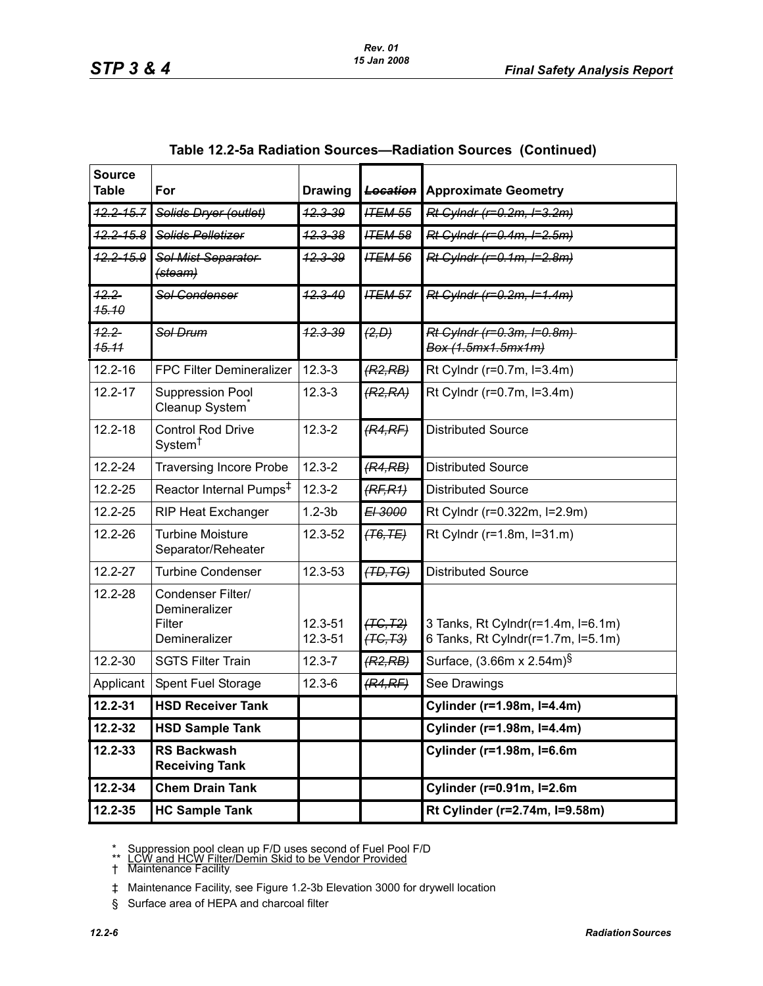| <b>Source</b><br><b>Table</b> | For                                                           | <b>Drawing</b>     | <b>Location</b>        | <b>Approximate Geometry</b>                                              |
|-------------------------------|---------------------------------------------------------------|--------------------|------------------------|--------------------------------------------------------------------------|
| $12.2 - 15.7$                 | Solids Dryer (outlet)                                         | <del>12.3-39</del> | <b>ITEM 55</b>         | Rt Cylndr (r=0.2m, I=3.2m)                                               |
| $42.2 - 15.8$                 | Solids Pelletizer                                             | <del>12.3-38</del> | <b>ITEM 58</b>         | Rt Cylndr (r=0.4m, I=2.5m)                                               |
| $42.2 - 15.9$                 | Sol Mist Separator<br>(steam)                                 | $42.3 - 39$        | <b>ITEM 56</b>         | Rt Cylndr (r=0.1m, I=2.8m)                                               |
| $42.2 -$<br>45.10             | <b>Sol Condenser</b>                                          | $12.3 - 40$        | <b>ITEM 57</b>         | Rt Cylndr (r=0.2m, I=1.4m)                                               |
| $42.2 -$<br><b>15.11</b>      | Sol Drum                                                      | <del>12.3-39</del> | (2, D)                 | Rt Cylndr (r=0.3m, I=0.8m)<br>Box (1.5mx1.5mx1m)                         |
| 12.2-16                       | FPC Filter Demineralizer                                      | $12.3 - 3$         | (R2, RB)               | Rt Cylndr (r=0.7m, l=3.4m)                                               |
| $12.2 - 17$                   | Suppression Pool<br>Cleanup System <sup>®</sup>               | $12.3 - 3$         | (R2, RA)               | Rt Cylndr (r=0.7m, l=3.4m)                                               |
| $12.2 - 18$                   | <b>Control Rod Drive</b><br>System <sup>†</sup>               | $12.3 - 2$         | (R4,RF)                | <b>Distributed Source</b>                                                |
| 12.2-24                       | <b>Traversing Incore Probe</b>                                | $12.3 - 2$         | (R4, RB)               | <b>Distributed Source</b>                                                |
| 12.2-25                       | Reactor Internal Pumps <sup>#</sup>                           | $12.3 - 2$         | (RF, R1)               | <b>Distributed Source</b>                                                |
| 12.2-25                       | <b>RIP Heat Exchanger</b>                                     | $1.2 - 3b$         | E <sub>13000</sub>     | Rt Cylndr (r=0.322m, l=2.9m)                                             |
| 12.2-26                       | <b>Turbine Moisture</b><br>Separator/Reheater                 | 12.3-52            | (76, TE)               | Rt Cylndr (r=1.8m, l=31.m)                                               |
| $12.2 - 27$                   | <b>Turbine Condenser</b>                                      | 12.3-53            | (TD, TG)               | <b>Distributed Source</b>                                                |
| 12.2-28                       | Condenser Filter/<br>Demineralizer<br>Filter<br>Demineralizer | 12.3-51<br>12.3-51 | (TG, T2)<br>$(TC, T3)$ | 3 Tanks, Rt Cylndr(r=1.4m, I=6.1m)<br>6 Tanks, Rt Cylndr(r=1.7m, l=5.1m) |
| 12.2-30                       | <b>SGTS Filter Train</b>                                      | $12.3 - 7$         | (R2, RB)               | Surface, (3.66m x 2.54m) <sup>§</sup>                                    |
| Applicant                     | Spent Fuel Storage                                            | $12.3 - 6$         | (R4,RF)                | See Drawings                                                             |
| 12.2-31                       | <b>HSD Receiver Tank</b>                                      |                    |                        | Cylinder (r=1.98m, l=4.4m)                                               |
| 12.2-32                       | <b>HSD Sample Tank</b>                                        |                    |                        | Cylinder (r=1.98m, I=4.4m)                                               |
| 12.2-33                       | <b>RS Backwash</b><br><b>Receiving Tank</b>                   |                    |                        | Cylinder (r=1.98m, I=6.6m                                                |
| 12.2-34                       | <b>Chem Drain Tank</b>                                        |                    |                        | Cylinder (r=0.91m, I=2.6m                                                |
| 12.2-35                       | <b>HC Sample Tank</b>                                         |                    |                        | Rt Cylinder (r=2.74m, I=9.58m)                                           |

| Table 12.2-5a Radiation Sources—Radiation Sources (Continued) |  |  |  |  |  |
|---------------------------------------------------------------|--|--|--|--|--|
|---------------------------------------------------------------|--|--|--|--|--|

\* Suppression pool clean up F/D uses second of Fuel Pool F/D<br>\*\* LCW and HCW Filter/Demin Skid to be Vendor Provided

† Maintenance Facility

‡ Maintenance Facility, see Figure 1.2-3b Elevation 3000 for drywell location

§ Surface area of HEPA and charcoal filter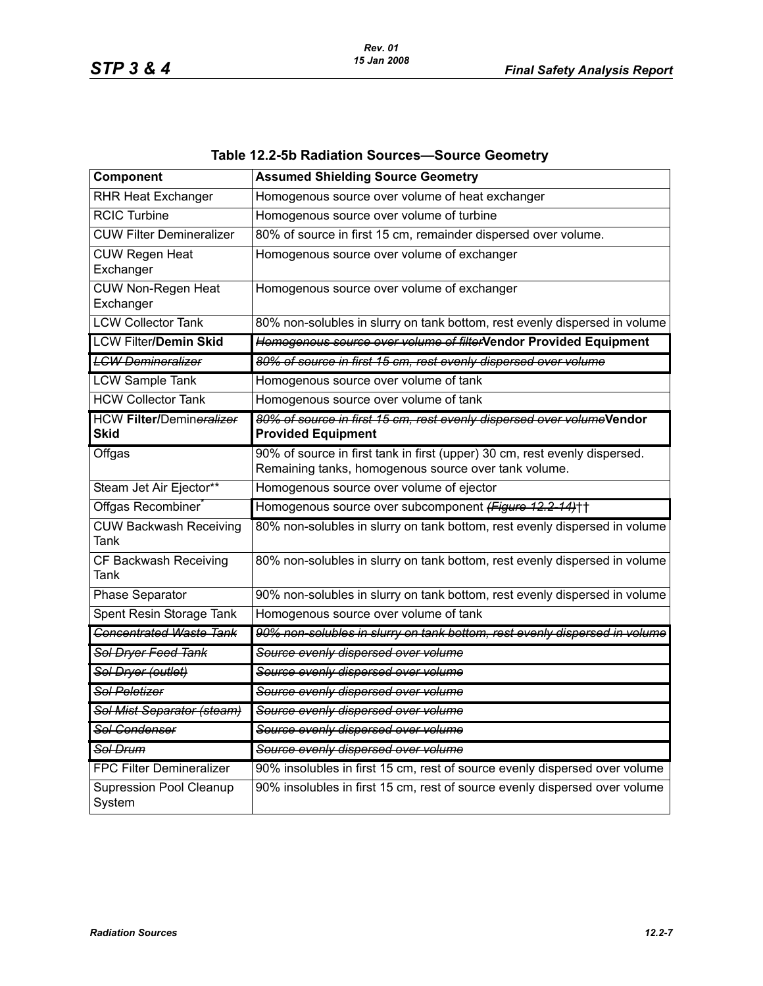| Component                                | <b>Assumed Shielding Source Geometry</b>                                                                                           |
|------------------------------------------|------------------------------------------------------------------------------------------------------------------------------------|
| <b>RHR Heat Exchanger</b>                | Homogenous source over volume of heat exchanger                                                                                    |
| <b>RCIC Turbine</b>                      | Homogenous source over volume of turbine                                                                                           |
| <b>CUW Filter Demineralizer</b>          | 80% of source in first 15 cm, remainder dispersed over volume.                                                                     |
| <b>CUW Regen Heat</b><br>Exchanger       | Homogenous source over volume of exchanger                                                                                         |
| <b>CUW Non-Regen Heat</b><br>Exchanger   | Homogenous source over volume of exchanger                                                                                         |
| <b>LCW Collector Tank</b>                | 80% non-solubles in slurry on tank bottom, rest evenly dispersed in volume                                                         |
| <b>LCW Filter/Demin Skid</b>             | Homogenous source over volume of filterVendor Provided Equipment                                                                   |
| <b>LGW Demineralizer</b>                 | 80% of source in first 15 cm, rest evenly dispersed over volume                                                                    |
| <b>LCW Sample Tank</b>                   | Homogenous source over volume of tank                                                                                              |
| <b>HCW Collector Tank</b>                | Homogenous source over volume of tank                                                                                              |
| <b>HCW Filter/Demineralizer</b><br>Skid  | 80% of source in first 15 cm, rest evenly dispersed over volumeVendor<br><b>Provided Equipment</b>                                 |
| Offgas                                   | 90% of source in first tank in first (upper) 30 cm, rest evenly dispersed.<br>Remaining tanks, homogenous source over tank volume. |
| Steam Jet Air Ejector**                  | Homogenous source over volume of ejector                                                                                           |
| Offgas Recombiner                        | Homogenous source over subcomponent (Figure 12.2-14)++                                                                             |
| <b>CUW Backwash Receiving</b><br>Tank    | 80% non-solubles in slurry on tank bottom, rest evenly dispersed in volume                                                         |
| CF Backwash Receiving<br>Tank            | 80% non-solubles in slurry on tank bottom, rest evenly dispersed in volume                                                         |
| Phase Separator                          | 90% non-solubles in slurry on tank bottom, rest evenly dispersed in volume                                                         |
| Spent Resin Storage Tank                 | Homogenous source over volume of tank                                                                                              |
| <b>Concentrated Waste Tank</b>           | 90% non-solubles in slurry on tank bottom, rest evenly dispersed in volume                                                         |
| Sol Dryer Feed Tank                      | Source evenly dispersed over volume                                                                                                |
| Sol Dryer (outlet)                       | Source evenly dispersed over volume                                                                                                |
| <b>Sol Peletizer</b>                     | Source evenly dispersed over volume                                                                                                |
| Sol Mist Separator (steam)               | Source evenly dispersed over volume                                                                                                |
| Sol Condenser                            | Source evenly dispersed over volume                                                                                                |
| <del>Sol Drum</del>                      | Source evenly dispersed over volume                                                                                                |
| <b>FPC Filter Demineralizer</b>          | 90% insolubles in first 15 cm, rest of source evenly dispersed over volume                                                         |
| <b>Supression Pool Cleanup</b><br>System | 90% insolubles in first 15 cm, rest of source evenly dispersed over volume                                                         |

# **Table 12.2-5b Radiation Sources—Source Geometry**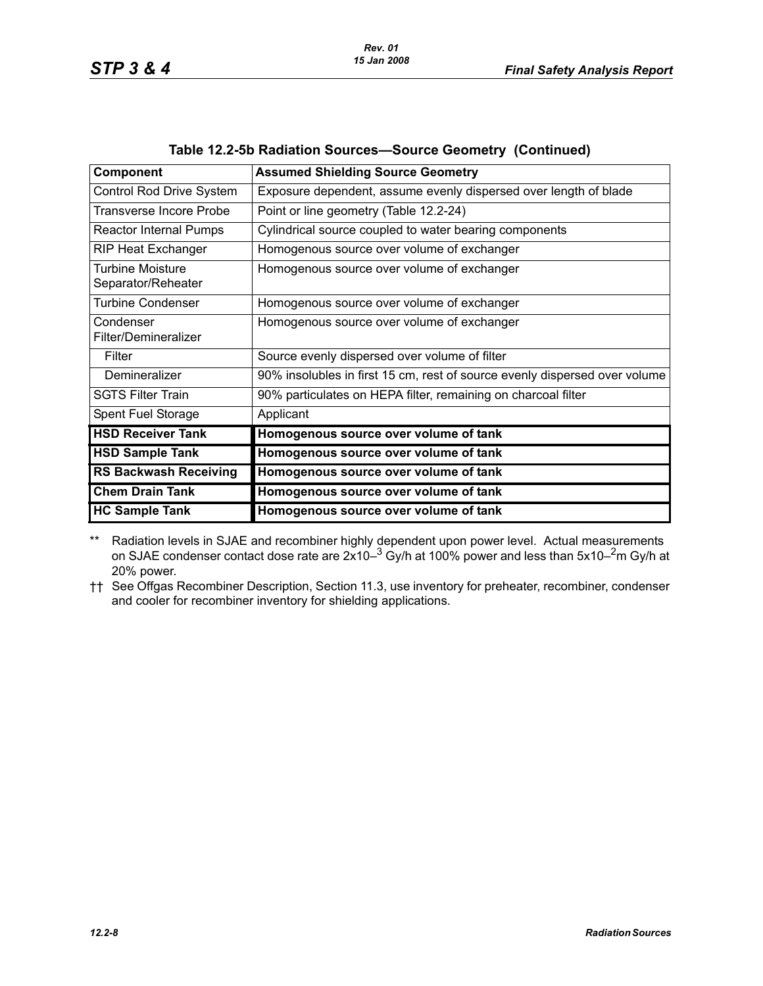*STP 3 & 4 Final Safety Analysis Report*

| Component                              | <b>Assumed Shielding Source Geometry</b>                                   |
|----------------------------------------|----------------------------------------------------------------------------|
| <b>Control Rod Drive System</b>        | Exposure dependent, assume evenly dispersed over length of blade           |
| Transverse Incore Probe                | Point or line geometry (Table 12.2-24)                                     |
| <b>Reactor Internal Pumps</b>          | Cylindrical source coupled to water bearing components                     |
| <b>RIP Heat Exchanger</b>              | Homogenous source over volume of exchanger                                 |
| Turbine Moisture<br>Separator/Reheater | Homogenous source over volume of exchanger                                 |
| <b>Turbine Condenser</b>               | Homogenous source over volume of exchanger                                 |
| Condenser<br>Filter/Demineralizer      | Homogenous source over volume of exchanger                                 |
| Filter                                 | Source evenly dispersed over volume of filter                              |
| Demineralizer                          | 90% insolubles in first 15 cm, rest of source evenly dispersed over volume |
| <b>SGTS Filter Train</b>               | 90% particulates on HEPA filter, remaining on charcoal filter              |
| Spent Fuel Storage                     | Applicant                                                                  |
| <b>HSD Receiver Tank</b>               | Homogenous source over volume of tank                                      |
| <b>HSD Sample Tank</b>                 | Homogenous source over volume of tank                                      |
| <b>RS Backwash Receiving</b>           | Homogenous source over volume of tank                                      |
| <b>Chem Drain Tank</b>                 | Homogenous source over volume of tank                                      |
| <b>HC Sample Tank</b>                  | Homogenous source over volume of tank                                      |

#### **Table 12.2-5b Radiation Sources—Source Geometry (Continued)**

\*\* Radiation levels in SJAE and recombiner highly dependent upon power level. Actual measurements on SJAE condenser contact dose rate are  $2x10-3$  Gy/h at 100% power and less than 5x10-<sup>2</sup>m Gy/h at 20% power.

†† See Offgas Recombiner Description, Section 11.3, use inventory for preheater, recombiner, condenser and cooler for recombiner inventory for shielding applications.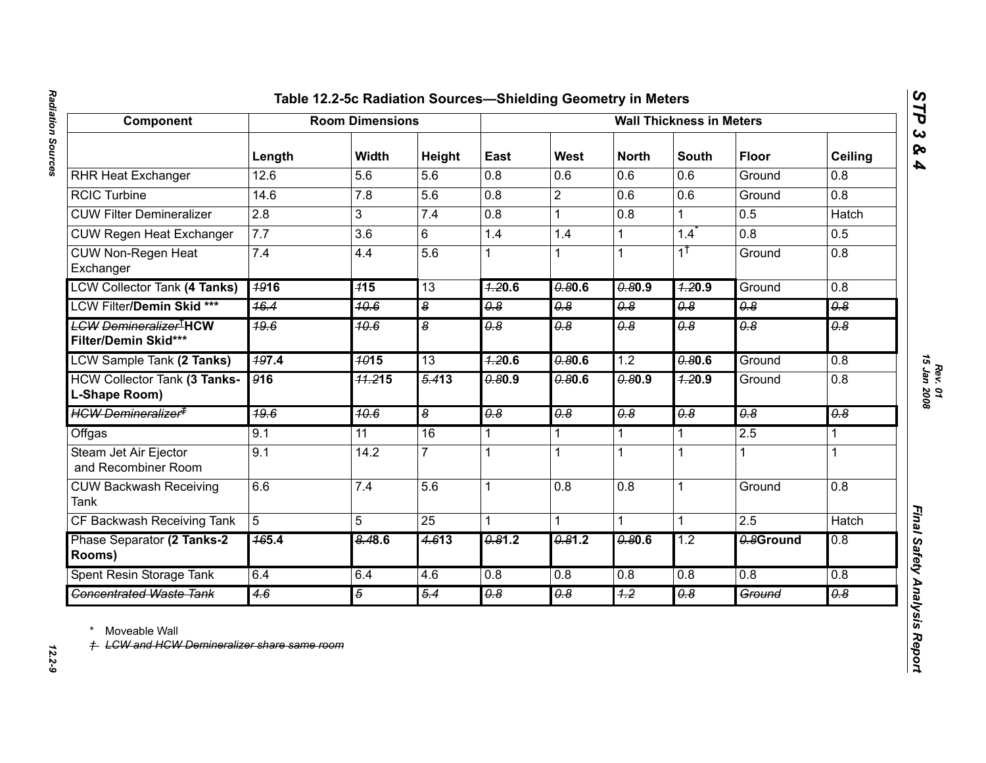| ı<br>יפח וחחר ווחוופוח<br>ווטמו בטווגטנ  |  |
|------------------------------------------|--|
|                                          |  |
|                                          |  |
|                                          |  |
|                                          |  |
|                                          |  |
| $\ddot{\phantom{0}}$<br>$2 - 7 - 7$<br>j |  |

| Component                                                           | <b>Room Dimensions</b> |                  |                         | <b>Wall Thickness in Meters</b> |                       |                       |                       |                             |                       |
|---------------------------------------------------------------------|------------------------|------------------|-------------------------|---------------------------------|-----------------------|-----------------------|-----------------------|-----------------------------|-----------------------|
|                                                                     | Length                 | Width            | Height                  | East                            | West                  | <b>North</b>          | <b>South</b>          | <b>Floor</b>                | <b>Ceiling</b>        |
| <b>RHR Heat Exchanger</b>                                           | 12.6                   | 5.6              | 5.6                     | 0.8                             | 0.6                   | 0.6                   | 0.6                   | Ground                      | 0.8                   |
| <b>RCIC Turbine</b>                                                 | 14.6                   | 7.8              | 5.6                     | 0.8                             | $\overline{2}$        | 0.6                   | 0.6                   | Ground                      | $\overline{0.8}$      |
| <b>CUW Filter Demineralizer</b>                                     | $\overline{2.8}$       | 3                | 7.4                     | 0.8                             | $\mathbf 1$           | $\overline{0.8}$      | 1                     | 0.5                         | <b>Hatch</b>          |
| <b>CUW Regen Heat Exchanger</b>                                     | 7.7                    | 3.6              | 6                       | 1.4                             | 1.4                   | $\mathbf{1}$          | 1.4                   | 0.8                         | 0.5                   |
| <b>CUW Non-Regen Heat</b><br>Exchanger                              | 7.4                    | 4.4              | 5.6                     |                                 |                       | $\mathbf{1}$          | $1^{\dagger}$         | Ground                      | 0.8                   |
| <b>LCW Collector Tank (4 Tanks)</b>                                 | <b>1916</b>            | 715              | 13                      | 7.20.6                          | 0.80.6                | 0.80.9                | 7.20.9                | Ground                      | 0.8                   |
| LCW Filter/Demin Skid ***                                           | 16.4                   | 40.6             | $\overline{\mathbf{e}}$ | $\overline{\theta.8}$           | $\overline{\theta.8}$ | $\overline{\theta.8}$ | $\overline{\theta.8}$ | $\overline{\theta.8}$       | $\overline{\theta.8}$ |
| <del>LCW Demineralizer<sup>1</sup>HCW</del><br>Filter/Demin Skid*** | $\frac{49.6}{ }$       | 10.6             | 8                       | $\overline{\theta.8}$           | $\overline{\theta.8}$ | $\overline{\theta.8}$ | $\overline{\theta.8}$ | $\overline{\theta.8}$       | $\overline{6.9}$      |
| <b>LCW Sample Tank (2 Tanks)</b>                                    | 197.4                  | $\frac{4015}{ }$ | 13                      | 7.20.6                          | 0.80.6                | 1.2                   | 0.80.6                | Ground                      | 0.8                   |
| <b>HCW Collector Tank (3 Tanks-</b><br>L-Shape Room)                | 916                    | 71.215           | $\frac{5.413}{5.413}$   | 0.80.9                          | 0.80.6                | 0.80.9                | 7.20.9                | Ground                      | $\overline{0.8}$      |
| <del>HCW Demineralizer<sup>≢</sup></del>                            | 49.6                   | 10.6             | 8                       | $\overline{\theta.8}$           | $\overline{\theta.8}$ | $\overline{\theta.8}$ | $\overline{\theta.8}$ | $\overline{\theta \cdot 8}$ | $\overline{\theta.8}$ |
| Offgas                                                              | 9.1                    | 11               | 16                      | 1                               | $\mathbf{1}$          | $\overline{1}$        | 1                     | 2.5                         | 1                     |
| Steam Jet Air Ejector<br>and Recombiner Room                        | 9.1                    | 14.2             | $\overline{7}$          | 1                               |                       | 1                     | 1                     |                             |                       |
| <b>CUW Backwash Receiving</b><br><b>Tank</b>                        | 6.6                    | 7.4              | 5.6                     | 1                               | 0.8                   | 0.8                   | $\mathbf 1$           | Ground                      | 0.8                   |
| CF Backwash Receiving Tank                                          | 5                      | 5                | 25                      | 1                               |                       | 1                     | 1                     | 2.5                         | <b>Hatch</b>          |
| Phase Separator (2 Tanks-2<br>Rooms)                                | $\frac{465.4}{5}$      | 8.48.6           | 4.613                   | 0.81.2                          | 0.81.2                | 0.80.6                | 1.2                   | 0.8Ground                   | 0.8                   |
| Spent Resin Storage Tank                                            | 6.4                    | 6.4              | 4.6                     | 0.8                             | 0.8                   | 0.8                   | 0.8                   | 0.8                         | 0.8                   |
| <b>Concentrated Waste Tank</b>                                      | 4.6                    | $\overline{5}$   | 5.4                     | $\overline{\theta}$ .8          | 0.8                   | 4.2                   | 0.8                   | Ground                      | 0.8                   |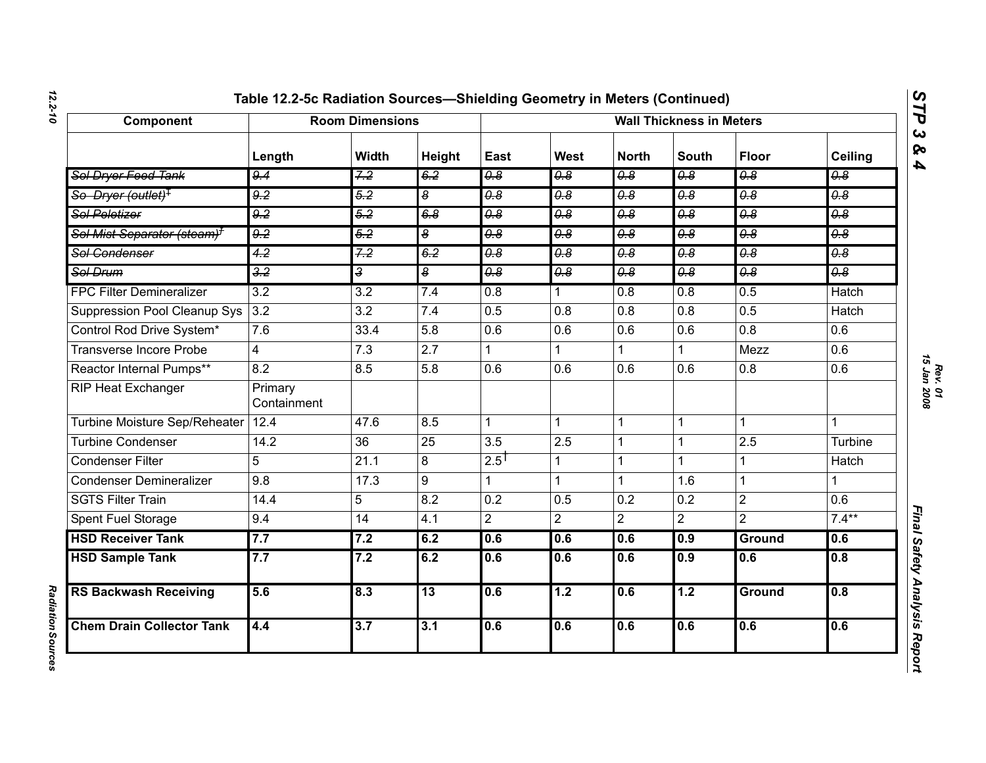| Table 12.2-5c Radiation Sources-Shielding Geometry in Meters (Continued |  |
|-------------------------------------------------------------------------|--|
|-------------------------------------------------------------------------|--|

| Component                               | <b>Room Dimensions</b> |                  |                  | <b>Wall Thickness in Meters</b> |                                  |                             |                                  |                                  |                                  |
|-----------------------------------------|------------------------|------------------|------------------|---------------------------------|----------------------------------|-----------------------------|----------------------------------|----------------------------------|----------------------------------|
|                                         | Length                 | <b>Width</b>     | Height           | East                            | West                             | <b>North</b>                | <b>South</b>                     | <b>Floor</b>                     | Ceiling                          |
| Sol Dryer Feed Tank                     | 9.4                    | 7.2              | 6.2              | 0.8                             | $\overline{\theta.8}$            | 0.8                         | $\overline{\theta.8}$            | $\overline{\theta.8}$            | $\overline{\theta.8}$            |
| So Dryer (outlet) <sup>‡</sup>          | $\overline{9.2}$       | $\overline{5.2}$ | œ                | 0.8                             | $\overline{\theta \cdot \theta}$ | $\theta$ .8                 | $\overline{\theta \cdot \theta}$ | $\overline{\theta \cdot \theta}$ | $\overline{\theta.8}$            |
| Sol Peletizer                           | 9.2                    | 5.2              | 6.8              | 0.8                             | 0.8                              | 0.8                         | $\overline{0.8}$                 | 0.8                              | 0.8                              |
| Sol Mist Separator (steam) <sup>+</sup> | 9.2                    | 5.2              | $\boldsymbol{8}$ | 0.8                             | 0.8                              | $\overline{\theta \cdot 8}$ | 0.8                              | 0.8                              | 0.8                              |
| Sol Condenser                           | $\overline{4.2}$       | 7.2              | 6.2              | $\theta$ . $\theta$             | $\overline{\theta \cdot \theta}$ | $\overline{\theta.8}$       | $\overline{\theta \cdot \theta}$ | $\overline{\theta.8}$            | $\overline{\theta \cdot \theta}$ |
| Sol Drum                                | 3.2                    | $\overline{3}$   | œ                | 0.8                             | 0.8                              | 0.8                         | 0.8                              | 0.8                              | 0.8                              |
| <b>FPC Filter Demineralizer</b>         | 3.2                    | $\overline{3.2}$ | 7.4              | 0.8                             | 1.                               | $\overline{0.8}$            | $\overline{0.8}$                 | 0.5                              | <b>Hatch</b>                     |
| Suppression Pool Cleanup Sys            | 3.2                    | 3.2              | 7.4              | 0.5                             | 0.8                              | 0.8                         | 0.8                              | 0.5                              | Hatch                            |
| Control Rod Drive System*               | 7.6                    | 33.4             | 5.8              | 0.6                             | 0.6                              | 0.6                         | 0.6                              | $\overline{0.8}$                 | $\overline{0.6}$                 |
| <b>Transverse Incore Probe</b>          | 4                      | 7.3              | 2.7              |                                 |                                  | $\mathbf{1}$                |                                  | Mezz                             | 0.6                              |
| Reactor Internal Pumps**                | 8.2                    | 8.5              | 5.8              | 0.6                             | 0.6                              | 0.6                         | 0.6                              | 0.8                              | 0.6                              |
| RIP Heat Exchanger                      | Primary<br>Containment |                  |                  |                                 |                                  |                             |                                  |                                  |                                  |
| <b>Turbine Moisture Sep/Reheater</b>    | 12.4                   | 47.6             | 8.5              | $\mathbf{1}$                    | $\mathbf{1}$                     | $\mathbf{1}$                | $\mathbf{1}$                     | $\mathbf{1}$                     | 1                                |
| <b>Turbine Condenser</b>                | 14.2                   | 36               | $\overline{25}$  | 3.5                             | 2.5                              | $\mathbf{1}$                |                                  | 2.5                              | Turbine                          |
| <b>Condenser Filter</b>                 | 5                      | 21.1             | 8                | $2.5^{\dagger}$                 | 1                                | 1                           | 1                                | $\mathbf 1$                      | <b>Hatch</b>                     |
| <b>Condenser Demineralizer</b>          | 9.8                    | 17.3             | 9                | 1                               | 1                                | $\mathbf{1}$                | 1.6                              | $\mathbf{1}$                     | $\mathbf{1}$                     |
| <b>SGTS Filter Train</b>                | 14.4                   | 5                | 8.2              | 0.2                             | 0.5                              | 0.2                         | 0.2                              | $\overline{2}$                   | $\overline{0.6}$                 |
| Spent Fuel Storage                      | 9.4                    | 14               | 4.1              | $\overline{2}$                  | $\overline{2}$                   | $\overline{2}$              | $\overline{2}$                   | $\overline{2}$                   | $7.4***$                         |
| <b>HSD Receiver Tank</b>                | 7.7                    | 7.2              | 6.2              | 0.6                             | 0.6                              | 0.6                         | 0.9                              | <b>Ground</b>                    | 0.6                              |
| <b>HSD Sample Tank</b>                  | 7.7                    | 7.2              | 6.2              | 0.6                             | 0.6                              | 0.6                         | 0.9                              | 0.6                              | 0.8                              |
| <b>RS Backwash Receiving</b>            | 5.6                    | 8.3              | 13               | 0.6                             | 1.2                              | 0.6                         | 1.2                              | <b>Ground</b>                    | 0.8                              |
| <b>Chem Drain Collector Tank</b>        | 4.4                    | 3.7              | 3.1              | 0.6                             | 0.6                              | 0.6                         | 0.6                              | 0.6                              | 0.6                              |

*STP 3 & 4*

**Radiation Sources** *Radiation Sources*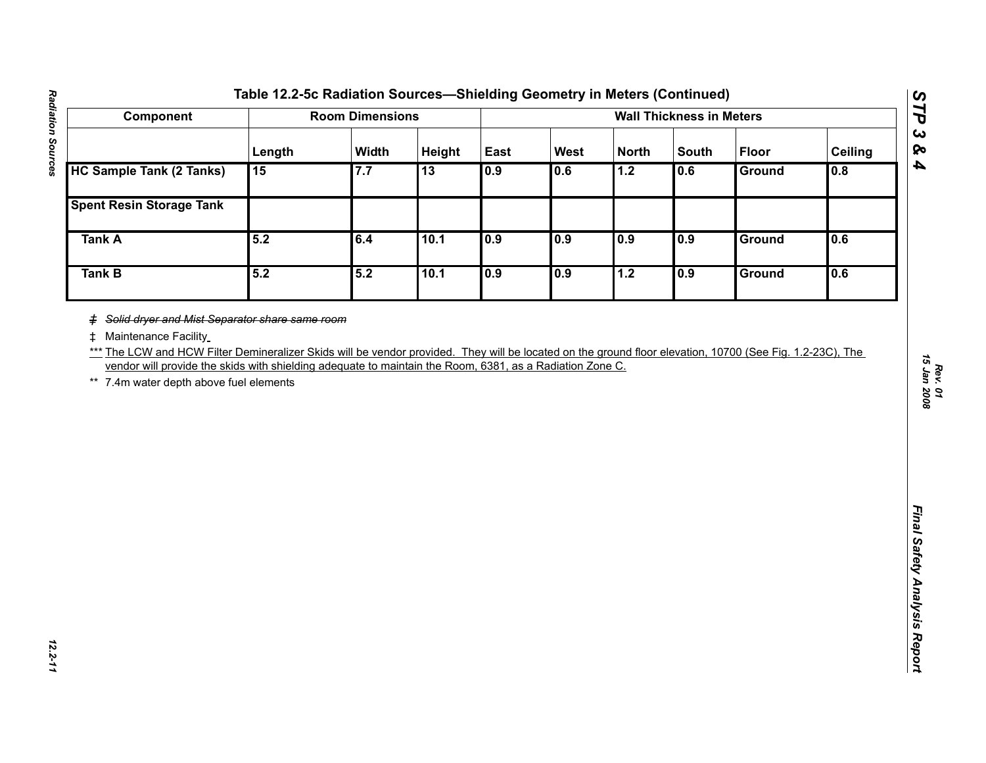| <b>HC Sample Tank (2 Tanks)</b><br><b>Spent Resin Storage Tank</b><br><b>Tank A</b><br><b>Tank B</b> | Length<br>15<br>5.2 | Width<br>7.7 | Height<br>$\overline{13}$ | East<br>0.9 | West<br>0.6 | <b>North</b><br>1.2 | <b>South</b><br>0.6 | <b>Floor</b><br>Ground | Ceiling<br>0.8 |
|------------------------------------------------------------------------------------------------------|---------------------|--------------|---------------------------|-------------|-------------|---------------------|---------------------|------------------------|----------------|
|                                                                                                      |                     |              |                           |             |             |                     |                     |                        |                |
|                                                                                                      |                     |              |                           |             |             |                     |                     |                        |                |
|                                                                                                      |                     |              |                           |             |             |                     |                     |                        |                |
|                                                                                                      |                     | 6.4          | 10.1                      | 0.9         | 0.9         | 0.9                 | 0.9                 | <b>Ground</b>          | 0.6            |
|                                                                                                      | 5.2                 | 5.2          | 10.1                      | 0.9         | 0.9         | 1.2                 | 0.9                 | <b>Ground</b>          | 0.6            |
|                                                                                                      |                     |              |                           |             |             |                     |                     |                        |                |

*STP 3 & 4*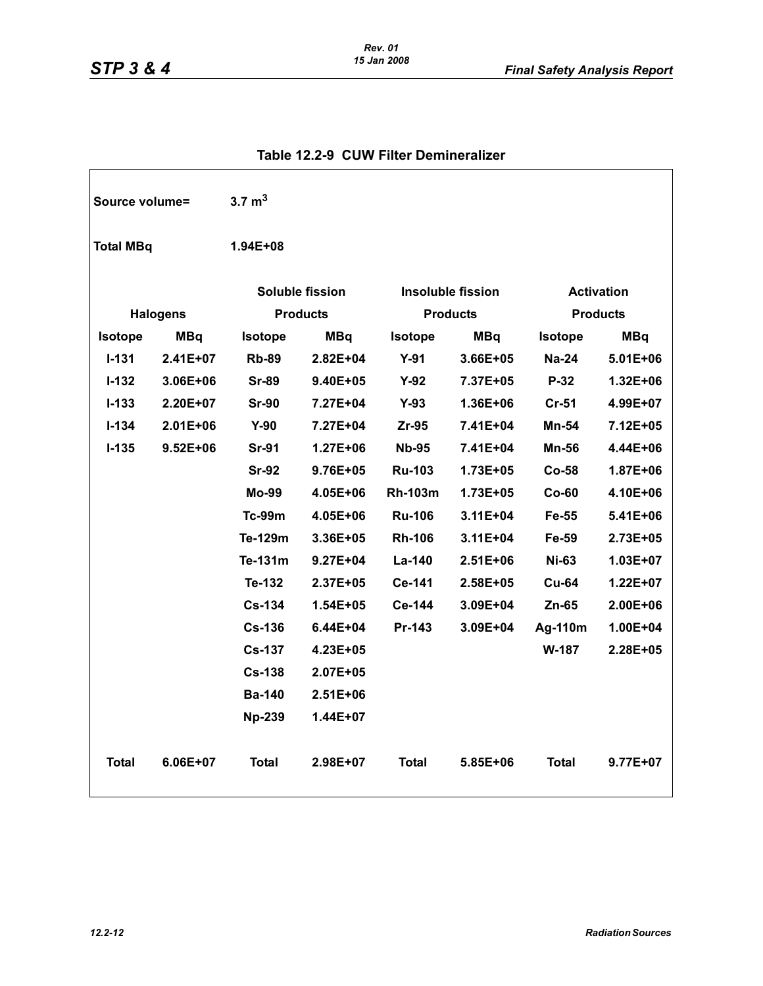| Source volume=   |                 | 3.7 $m3$       |                        |                |                          |                   |                 |  |
|------------------|-----------------|----------------|------------------------|----------------|--------------------------|-------------------|-----------------|--|
| <b>Total MBq</b> |                 | 1.94E+08       |                        |                |                          |                   |                 |  |
|                  |                 |                | <b>Soluble fission</b> |                | <b>Insoluble fission</b> | <b>Activation</b> |                 |  |
|                  | <b>Halogens</b> |                | <b>Products</b>        |                | <b>Products</b>          |                   | <b>Products</b> |  |
| <b>Isotope</b>   | <b>MBq</b>      | <b>Isotope</b> | <b>MBq</b>             | <b>Isotope</b> | <b>MBq</b>               | <b>Isotope</b>    | <b>MBq</b>      |  |
| $I - 131$        | $2.41E+07$      | <b>Rb-89</b>   | $2.82E + 04$           | $Y-91$         | $3.66E + 05$             | <b>Na-24</b>      | $5.01E + 06$    |  |
| $I - 132$        | 3.06E+06        | <b>Sr-89</b>   | $9.40E + 05$           | $Y-92$         | 7.37E+05                 | P-32              | 1.32E+06        |  |
| $I - 133$        | 2.20E+07        | <b>Sr-90</b>   | 7.27E+04               | $Y-93$         | 1.36E+06                 | $Cr-51$           | 4.99E+07        |  |
| $I - 134$        | $2.01E + 06$    | $Y-90$         | 7.27E+04               | $Zr-95$        | 7.41E+04                 | <b>Mn-54</b>      | 7.12E+05        |  |
| $I - 135$        | $9.52E + 06$    | <b>Sr-91</b>   | $1.27E + 06$           | <b>Nb-95</b>   | 7.41E+04                 | <b>Mn-56</b>      | 4.44E+06        |  |
|                  |                 | <b>Sr-92</b>   | 9.76E+05               | <b>Ru-103</b>  | 1.73E+05                 | Co-58             | 1.87E+06        |  |
|                  |                 | <b>Mo-99</b>   | 4.05E+06               | <b>Rh-103m</b> | 1.73E+05                 | $Co-60$           | 4.10E+06        |  |
|                  |                 | <b>Tc-99m</b>  | 4.05E+06               | <b>Ru-106</b>  | $3.11E + 04$             | Fe-55             | 5.41E+06        |  |
|                  |                 | Te-129m        | 3.36E+05               | <b>Rh-106</b>  | 3.11E+04                 | Fe-59             | 2.73E+05        |  |
|                  |                 | Te-131m        | $9.27E + 04$           | La-140         | $2.51E + 06$             | <b>Ni-63</b>      | 1.03E+07        |  |
|                  |                 | Te-132         | $2.37E + 05$           | Ce-141         | 2.58E+05                 | <b>Cu-64</b>      | $1.22E + 07$    |  |
|                  |                 | <b>Cs-134</b>  | $1.54E + 05$           | Ce-144         | 3.09E+04                 | $Zn-65$           | 2.00E+06        |  |
|                  |                 | <b>Cs-136</b>  | 6.44E+04               | Pr-143         | 3.09E+04                 | Ag-110m           | 1.00E+04        |  |
|                  |                 | <b>Cs-137</b>  | 4.23E+05               |                |                          | W-187             | 2.28E+05        |  |
|                  |                 | <b>Cs-138</b>  | $2.07E + 05$           |                |                          |                   |                 |  |
|                  |                 | <b>Ba-140</b>  | 2.51E+06               |                |                          |                   |                 |  |
|                  |                 | <b>Np-239</b>  | 1.44E+07               |                |                          |                   |                 |  |
| <b>Total</b>     | 6.06E+07        | <b>Total</b>   | 2.98E+07               | <b>Total</b>   | 5.85E+06                 | <b>Total</b>      | 9.77E+07        |  |

## **Table 12.2-9 CUW Filter Demineralizer**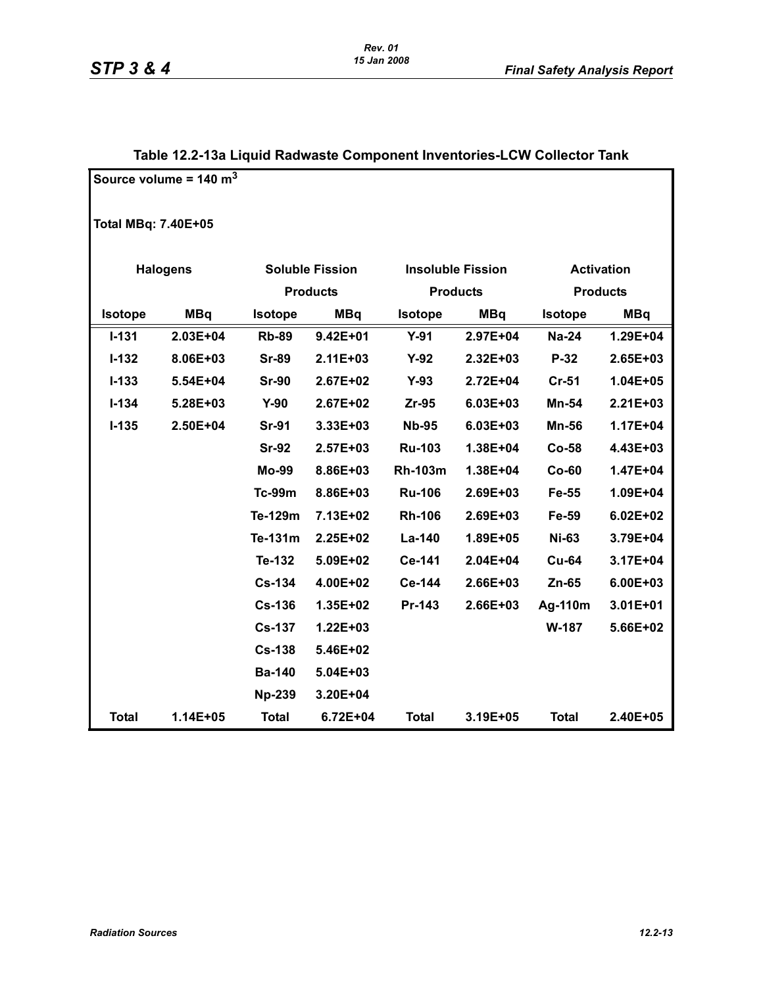|                     | Source volume = $140 \text{ m}^3$ |                |                        |                |                          |                |                   |
|---------------------|-----------------------------------|----------------|------------------------|----------------|--------------------------|----------------|-------------------|
| Total MBq: 7.40E+05 |                                   |                |                        |                |                          |                |                   |
|                     | <b>Halogens</b>                   |                | <b>Soluble Fission</b> |                | <b>Insoluble Fission</b> |                | <b>Activation</b> |
|                     |                                   |                | <b>Products</b>        |                | <b>Products</b>          |                | <b>Products</b>   |
| <b>Isotope</b>      | <b>MBq</b>                        | <b>Isotope</b> | <b>MBq</b>             |                | <b>MBq</b>               |                |                   |
|                     |                                   |                |                        | <b>Isotope</b> |                          | <b>Isotope</b> | <b>MBq</b>        |
| $I - 131$           | 2.03E+04                          | <b>Rb-89</b>   | $9.42E + 01$           | $Y-91$         | 2.97E+04                 | <b>Na-24</b>   | 1.29E+04          |
| $I-132$             | 8.06E+03                          | <b>Sr-89</b>   | $2.11E + 03$           | $Y-92$         | 2.32E+03                 | P-32           | 2.65E+03          |
| $I - 133$           | 5.54E+04                          | <b>Sr-90</b>   | 2.67E+02               | $Y-93$         | 2.72E+04                 | <b>Cr-51</b>   | $1.04E + 05$      |
| $I - 134$           | 5.28E+03                          | $Y-90$         | 2.67E+02               | $Zr-95$        | 6.03E+03                 | Mn-54          | $2.21E + 03$      |
| $I-135$             | 2.50E+04                          | <b>Sr-91</b>   | 3.33E+03               | <b>Nb-95</b>   | 6.03E+03                 | <b>Mn-56</b>   | $1.17E + 04$      |
|                     |                                   | <b>Sr-92</b>   | 2.57E+03               | <b>Ru-103</b>  | 1.38E+04                 | $Co-58$        | 4.43E+03          |
|                     |                                   | Mo-99          | 8.86E+03               | <b>Rh-103m</b> | 1.38E+04                 | $Co-60$        | 1.47E+04          |
|                     |                                   | <b>Tc-99m</b>  | 8.86E+03               | <b>Ru-106</b>  | 2.69E+03                 | Fe-55          | 1.09E+04          |
|                     |                                   | Te-129m        | 7.13E+02               | <b>Rh-106</b>  | 2.69E+03                 | Fe-59          | $6.02E + 02$      |
|                     |                                   | Te-131m        | 2.25E+02               | La-140         | 1.89E+05                 | <b>Ni-63</b>   | 3.79E+04          |
|                     |                                   | Te-132         | 5.09E+02               | Ce-141         | 2.04E+04                 | <b>Cu-64</b>   | 3.17E+04          |
|                     |                                   | <b>Cs-134</b>  | 4.00E+02               | Ce-144         | 2.66E+03                 | $Zn-65$        | 6.00E+03          |
|                     |                                   | <b>Cs-136</b>  | 1.35E+02               | Pr-143         | 2.66E+03                 | Ag-110m        | $3.01E + 01$      |
|                     |                                   | <b>Cs-137</b>  | $1.22E + 03$           |                |                          | W-187          | 5.66E+02          |
|                     |                                   | <b>Cs-138</b>  | 5.46E+02               |                |                          |                |                   |
|                     |                                   | <b>Ba-140</b>  | 5.04E+03               |                |                          |                |                   |
|                     |                                   | <b>Np-239</b>  | 3.20E+04               |                |                          |                |                   |
| <b>Total</b>        | 1.14E+05                          | <b>Total</b>   | 6.72E+04               | <b>Total</b>   | 3.19E+05                 | <b>Total</b>   | 2.40E+05          |

# **Table 12.2-13a Liquid Radwaste Component Inventories-LCW Collector Tank**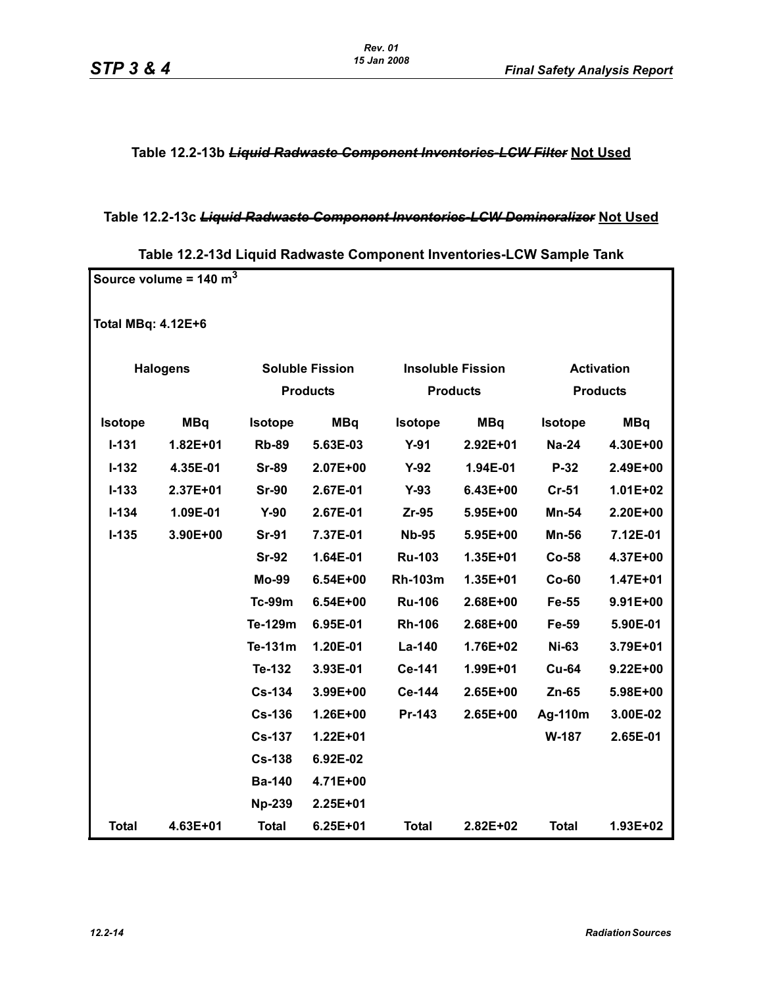**Table 12.2-13b** *Liquid Radwaste Component Inventories-LCW Filter* **Not Used**

## **Table 12.2-13c** *Liquid Radwaste Component Inventories-LCW Demineralizer* **Not Used**

| Source volume = $140 \text{ m}^3$ |                 |                |                        |                          |              |              |                   |  |  |  |
|-----------------------------------|-----------------|----------------|------------------------|--------------------------|--------------|--------------|-------------------|--|--|--|
| <b>Total MBq: 4.12E+6</b>         |                 |                |                        |                          |              |              |                   |  |  |  |
|                                   | <b>Halogens</b> |                | <b>Soluble Fission</b> | <b>Insoluble Fission</b> |              |              | <b>Activation</b> |  |  |  |
|                                   |                 |                | <b>Products</b>        | <b>Products</b>          |              |              | <b>Products</b>   |  |  |  |
| Isotope                           | <b>MBq</b>      | <b>Isotope</b> | <b>MBq</b>             | <b>Isotope</b>           | <b>MBq</b>   | Isotope      | <b>MBq</b>        |  |  |  |
| $I - 131$                         | $1.82E + 01$    | <b>Rb-89</b>   | 5.63E-03               | $Y-91$                   | 2.92E+01     | <b>Na-24</b> | 4.30E+00          |  |  |  |
| $I-132$                           | 4.35E-01        | <b>Sr-89</b>   | 2.07E+00               | $Y-92$                   | 1.94E-01     | $P-32$       | 2.49E+00          |  |  |  |
| $I - 133$                         | 2.37E+01        | <b>Sr-90</b>   | 2.67E-01               | $Y-93$                   | 6.43E+00     | <b>Cr-51</b> | 1.01E+02          |  |  |  |
| $I - 134$                         | 1.09E-01        | $Y-90$         | 2.67E-01               | $Zr-95$                  | 5.95E+00     | Mn-54        | 2.20E+00          |  |  |  |
| $I-135$                           | 3.90E+00        | <b>Sr-91</b>   | 7.37E-01               | <b>Nb-95</b>             | 5.95E+00     | <b>Mn-56</b> | 7.12E-01          |  |  |  |
|                                   |                 | <b>Sr-92</b>   | 1.64E-01               | <b>Ru-103</b>            | 1.35E+01     | Co-58        | 4.37E+00          |  |  |  |
|                                   |                 | <b>Mo-99</b>   | $6.54E + 00$           | <b>Rh-103m</b>           | 1.35E+01     | $Co-60$      | 1.47E+01          |  |  |  |
|                                   |                 | <b>Tc-99m</b>  | 6.54E+00               | <b>Ru-106</b>            | 2.68E+00     | Fe-55        | 9.91E+00          |  |  |  |
|                                   |                 | Te-129m        | 6.95E-01               | <b>Rh-106</b>            | 2.68E+00     | Fe-59        | 5.90E-01          |  |  |  |
|                                   |                 | Te-131m        | 1.20E-01               | La-140                   | 1.76E+02     | <b>Ni-63</b> | 3.79E+01          |  |  |  |
|                                   |                 | Te-132         | 3.93E-01               | Ce-141                   | 1.99E+01     | <b>Cu-64</b> | $9.22E + 00$      |  |  |  |
|                                   |                 | <b>Cs-134</b>  | 3.99E+00               | Ce-144                   | 2.65E+00     | $Zn-65$      | 5.98E+00          |  |  |  |
|                                   |                 | <b>Cs-136</b>  | 1.26E+00               | Pr-143                   | 2.65E+00     | Ag-110m      | 3.00E-02          |  |  |  |
|                                   |                 | <b>Cs-137</b>  | 1.22E+01               |                          |              | W-187        | 2.65E-01          |  |  |  |
|                                   |                 | <b>Cs-138</b>  | 6.92E-02               |                          |              |              |                   |  |  |  |
|                                   |                 | <b>Ba-140</b>  | 4.71E+00               |                          |              |              |                   |  |  |  |
|                                   |                 | <b>Np-239</b>  | 2.25E+01               |                          |              |              |                   |  |  |  |
| <b>Total</b>                      | 4.63E+01        | <b>Total</b>   | 6.25E+01               | <b>Total</b>             | $2.82E + 02$ | <b>Total</b> | 1.93E+02          |  |  |  |

**Table 12.2-13d Liquid Radwaste Component Inventories-LCW Sample Tank**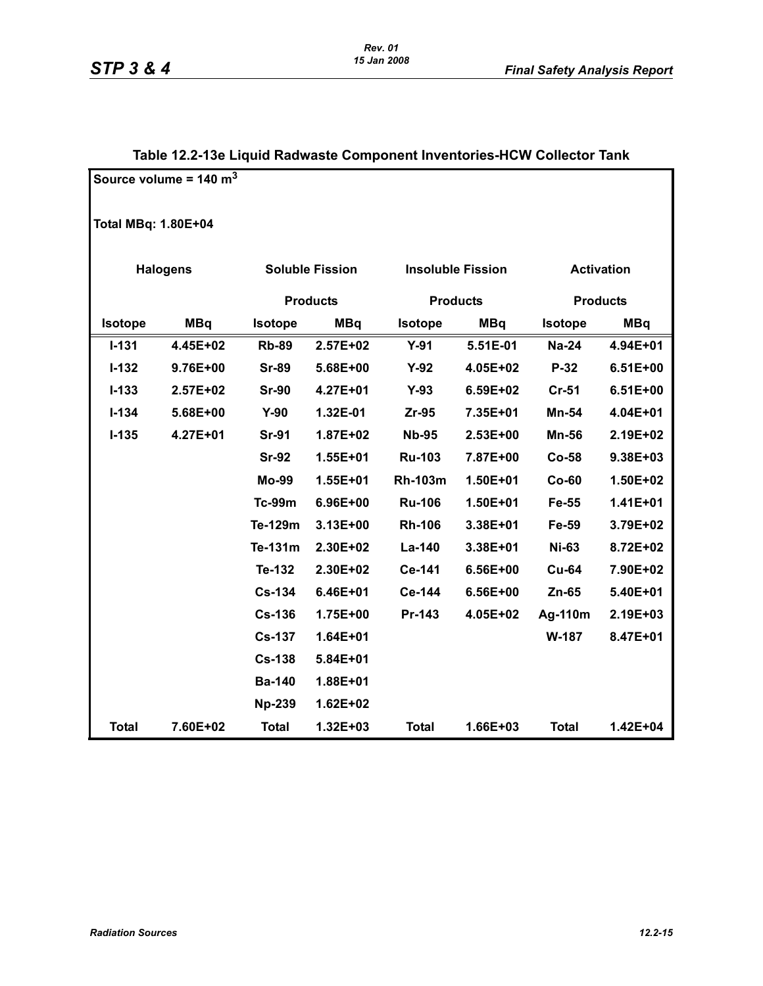## **Table 12.2-13e Liquid Radwaste Component Inventories-HCW Collector Tank**

|                            | Source volume = $140 \text{ m}^3$ |                |                        |                |                          |                   |                 |  |  |  |
|----------------------------|-----------------------------------|----------------|------------------------|----------------|--------------------------|-------------------|-----------------|--|--|--|
| <b>Total MBq: 1.80E+04</b> |                                   |                |                        |                |                          |                   |                 |  |  |  |
|                            | <b>Halogens</b>                   |                | <b>Soluble Fission</b> |                | <b>Insoluble Fission</b> | <b>Activation</b> |                 |  |  |  |
|                            |                                   |                | <b>Products</b>        |                | <b>Products</b>          |                   | <b>Products</b> |  |  |  |
| <b>Isotope</b>             | <b>MBq</b>                        | <b>Isotope</b> | <b>MBq</b>             | <b>Isotope</b> | <b>MBq</b>               | <b>Isotope</b>    | <b>MBq</b>      |  |  |  |
| $I - 131$                  | 4.45E+02                          | <b>Rb-89</b>   | 2.57E+02               | $Y-91$         | 5.51E-01                 | <b>Na-24</b>      | 4.94E+01        |  |  |  |
| $I-132$                    | 9.76E+00                          | <b>Sr-89</b>   | 5.68E+00               | $Y-92$         | 4.05E+02                 | $P-32$            | $6.51E+00$      |  |  |  |
| $I - 133$                  | 2.57E+02                          | <b>Sr-90</b>   | 4.27E+01               | $Y-93$         | 6.59E+02                 | $Cr-51$           | $6.51E+00$      |  |  |  |
| $I - 134$                  | 5.68E+00                          | $Y-90$         | 1.32E-01               | $Zr-95$        | 7.35E+01                 | Mn-54             | 4.04E+01        |  |  |  |
| $I-135$                    | 4.27E+01                          | <b>Sr-91</b>   | 1.87E+02               | <b>Nb-95</b>   | 2.53E+00                 | <b>Mn-56</b>      | 2.19E+02        |  |  |  |
|                            |                                   | <b>Sr-92</b>   | 1.55E+01               | <b>Ru-103</b>  | 7.87E+00                 | <b>Co-58</b>      | 9.38E+03        |  |  |  |
|                            |                                   | <b>Mo-99</b>   | $1.55E + 01$           | <b>Rh-103m</b> | 1.50E+01                 | $Co-60$           | 1.50E+02        |  |  |  |
|                            |                                   | <b>Tc-99m</b>  | 6.96E+00               | <b>Ru-106</b>  | 1.50E+01                 | Fe-55             | $1.41E + 01$    |  |  |  |
|                            |                                   | Te-129m        | 3.13E+00               | <b>Rh-106</b>  | 3.38E+01                 | Fe-59             | 3.79E+02        |  |  |  |
|                            |                                   | Te-131m        | 2.30E+02               | La-140         | 3.38E+01                 | <b>Ni-63</b>      | 8.72E+02        |  |  |  |
|                            |                                   | Te-132         | 2.30E+02               | Ce-141         | 6.56E+00                 | <b>Cu-64</b>      | 7.90E+02        |  |  |  |
|                            |                                   | <b>Cs-134</b>  | 6.46E+01               | Ce-144         | 6.56E+00                 | $Zn-65$           | 5.40E+01        |  |  |  |
|                            |                                   | <b>Cs-136</b>  | 1.75E+00               | Pr-143         | 4.05E+02                 | Ag-110m           | 2.19E+03        |  |  |  |
|                            |                                   | <b>Cs-137</b>  | 1.64E+01               |                |                          | W-187             | 8.47E+01        |  |  |  |
|                            |                                   | <b>Cs-138</b>  | 5.84E+01               |                |                          |                   |                 |  |  |  |
|                            |                                   | <b>Ba-140</b>  | 1.88E+01               |                |                          |                   |                 |  |  |  |
|                            |                                   | <b>Np-239</b>  | $1.62E + 02$           |                |                          |                   |                 |  |  |  |
| <b>Total</b>               | 7.60E+02                          | <b>Total</b>   | 1.32E+03               | <b>Total</b>   | 1.66E+03                 | <b>Total</b>      | 1.42E+04        |  |  |  |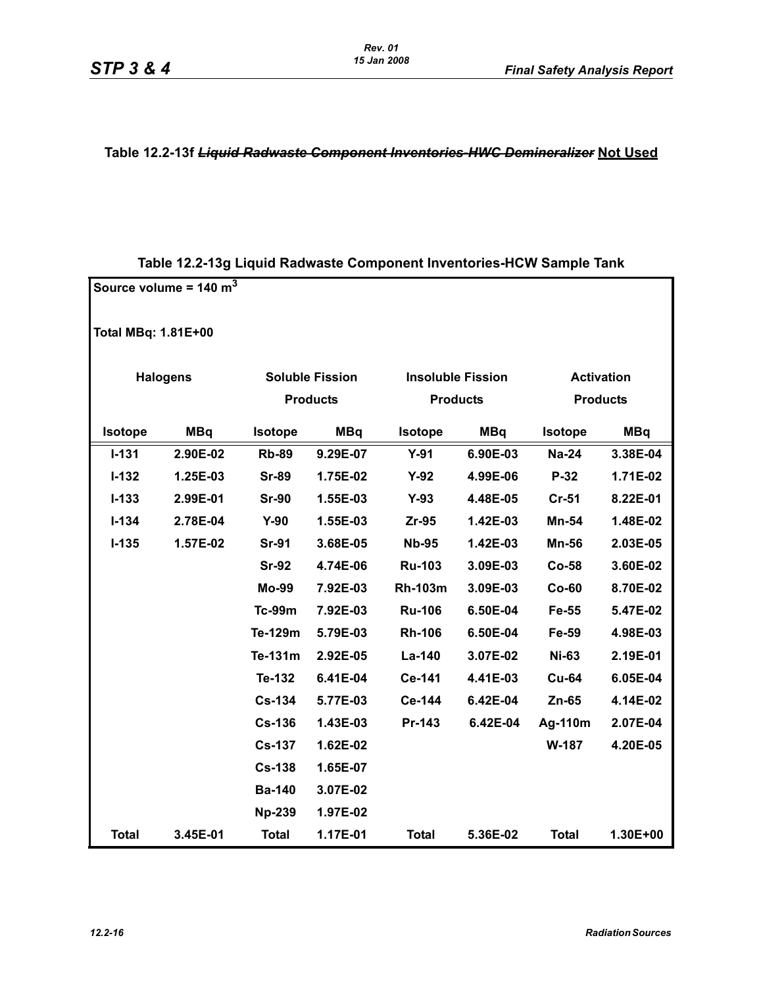#### **Table 12.2-13f** *Liquid Radwaste Component Inventories-HWC Demineralizer* **Not Used**

|                            | Source volume = $140 \text{ m}^3$ |                |                        |                |                          |                |                   |
|----------------------------|-----------------------------------|----------------|------------------------|----------------|--------------------------|----------------|-------------------|
| <b>Total MBq: 1.81E+00</b> |                                   |                |                        |                |                          |                |                   |
|                            | <b>Halogens</b>                   |                | <b>Soluble Fission</b> |                | <b>Insoluble Fission</b> |                | <b>Activation</b> |
|                            |                                   |                | <b>Products</b>        |                | <b>Products</b>          |                | <b>Products</b>   |
| Isotope                    | <b>MBq</b>                        | <b>Isotope</b> | <b>MBq</b>             | <b>Isotope</b> | <b>MBq</b>               | <b>Isotope</b> | <b>MBq</b>        |
| $I - 131$                  | 2.90E-02                          | <b>Rb-89</b>   | 9.29E-07               | $Y-91$         | 6.90E-03                 | <b>Na-24</b>   | 3.38E-04          |
| $I - 132$                  | 1.25E-03                          | <b>Sr-89</b>   | 1.75E-02               | $Y-92$         | 4.99E-06                 | $P-32$         | 1.71E-02          |
| $I - 133$                  | 2.99E-01                          | <b>Sr-90</b>   | 1.55E-03               | $Y-93$         | 4.48E-05                 | $Cr-51$        | 8.22E-01          |
| $I - 134$                  | 2.78E-04                          | $Y-90$         | 1.55E-03               | Zr-95          | 1.42E-03                 | Mn-54          | 1.48E-02          |
| $I-135$                    | 1.57E-02                          | <b>Sr-91</b>   | 3.68E-05               | <b>Nb-95</b>   | 1.42E-03                 | <b>Mn-56</b>   | 2.03E-05          |
|                            |                                   | <b>Sr-92</b>   | 4.74E-06               | <b>Ru-103</b>  | 3.09E-03                 | Co-58          | 3.60E-02          |
|                            |                                   | <b>Mo-99</b>   | 7.92E-03               | <b>Rh-103m</b> | 3.09E-03                 | $Co-60$        | 8.70E-02          |
|                            |                                   | <b>Tc-99m</b>  | 7.92E-03               | <b>Ru-106</b>  | 6.50E-04                 | Fe-55          | 5.47E-02          |
|                            |                                   | Te-129m        | 5.79E-03               | <b>Rh-106</b>  | 6.50E-04                 | Fe-59          | 4.98E-03          |
|                            |                                   | Te-131m        | 2.92E-05               | La-140         | 3.07E-02                 | <b>Ni-63</b>   | 2.19E-01          |
|                            |                                   | Te-132         | 6.41E-04               | Ce-141         | 4.41E-03                 | <b>Cu-64</b>   | 6.05E-04          |
|                            |                                   | <b>Cs-134</b>  | 5.77E-03               | Ce-144         | 6.42E-04                 | $Zn-65$        | 4.14E-02          |
|                            |                                   | <b>Cs-136</b>  | 1.43E-03               | Pr-143         | 6.42E-04                 | Ag-110m        | 2.07E-04          |
|                            |                                   | <b>Cs-137</b>  | 1.62E-02               |                |                          | W-187          | 4.20E-05          |
|                            |                                   | <b>Cs-138</b>  | 1.65E-07               |                |                          |                |                   |
|                            |                                   | <b>Ba-140</b>  | 3.07E-02               |                |                          |                |                   |
|                            |                                   | <b>Np-239</b>  | 1.97E-02               |                |                          |                |                   |
| <b>Total</b>               | 3.45E-01                          | <b>Total</b>   | 1.17E-01               | <b>Total</b>   | 5.36E-02                 | <b>Total</b>   | 1.30E+00          |

## **Table 12.2-13g Liquid Radwaste Component Inventories-HCW Sample Tank**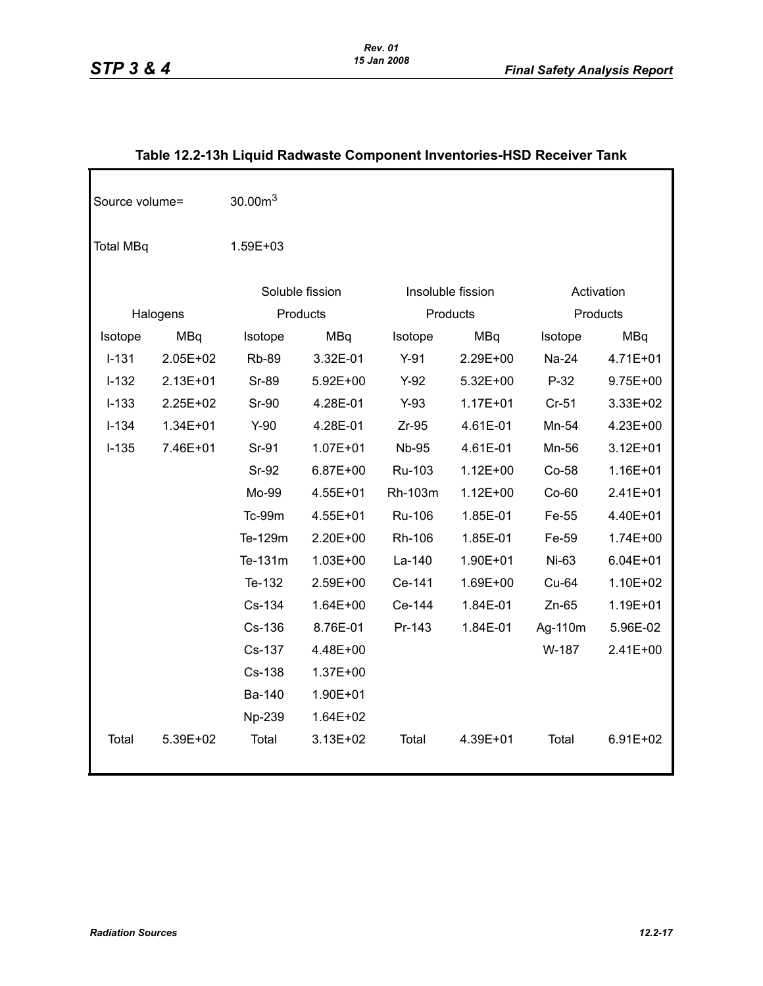| Source volume=   |              | 30.00m <sup>3</sup> |                 |              |                   |          |              |
|------------------|--------------|---------------------|-----------------|--------------|-------------------|----------|--------------|
| <b>Total MBq</b> |              | 1.59E+03            |                 |              |                   |          |              |
|                  |              |                     | Soluble fission |              | Insoluble fission |          | Activation   |
|                  | Halogens     |                     | Products        | Products     |                   | Products |              |
| Isotope          | <b>MBq</b>   | Isotope             | <b>MBq</b>      | Isotope      | <b>MBq</b>        | Isotope  | <b>MBq</b>   |
| $I-131$          | $2.05E+02$   | <b>Rb-89</b>        | 3.32E-01        | $Y-91$       | 2.29E+00          | Na-24    | 4.71E+01     |
| $I - 132$        | $2.13E + 01$ | <b>Sr-89</b>        | 5.92E+00        | $Y-92$       | 5.32E+00          | $P-32$   | 9.75E+00     |
| $I-133$          | 2.25E+02     | <b>Sr-90</b>        | 4.28E-01        | $Y-93$       | $1.17E + 01$      | $Cr-51$  | 3.33E+02     |
| $I-134$          | 1.34E+01     | $Y-90$              | 4.28E-01        | $Zr-95$      | 4.61E-01          | Mn-54    | 4.23E+00     |
| $I-135$          | 7.46E+01     | Sr-91               | $1.07E + 01$    | <b>Nb-95</b> | 4.61E-01          | Mn-56    | $3.12E + 01$ |
|                  |              | <b>Sr-92</b>        | 6.87E+00        | Ru-103       | $1.12E + 00$      | Co-58    | 1.16E+01     |
|                  |              | Mo-99               | 4.55E+01        | Rh-103m      | $1.12E + 00$      | $Co-60$  | 2.41E+01     |
|                  |              | Tc-99m              | 4.55E+01        | Ru-106       | 1.85E-01          | Fe-55    | 4.40E+01     |
|                  |              | Te-129m             | 2.20E+00        | Rh-106       | 1.85E-01          | Fe-59    | $1.74E + 00$ |
|                  |              | Te-131m             | $1.03E + 00$    | La-140       | 1.90E+01          | Ni-63    | $6.04E + 01$ |
|                  |              | Te-132              | 2.59E+00        | Ce-141       | 1.69E+00          | Cu-64    | 1.10E+02     |
|                  |              | Cs-134              | $1.64E + 00$    | Ce-144       | 1.84E-01          | $Zn-65$  | 1.19E+01     |
|                  |              | Cs-136              | 8.76E-01        | Pr-143       | 1.84E-01          | Ag-110m  | 5.96E-02     |
|                  |              | Cs-137              | 4.48E+00        |              |                   | W-187    | 2.41E+00     |
|                  |              | Cs-138              | 1.37E+00        |              |                   |          |              |
|                  |              | Ba-140              | 1.90E+01        |              |                   |          |              |
|                  |              | Np-239              | 1.64E+02        |              |                   |          |              |
| Total            | 5.39E+02     | Total               | $3.13E + 02$    | Total        | 4.39E+01          | Total    | 6.91E+02     |

## **Table 12.2-13h Liquid Radwaste Component Inventories-HSD Receiver Tank**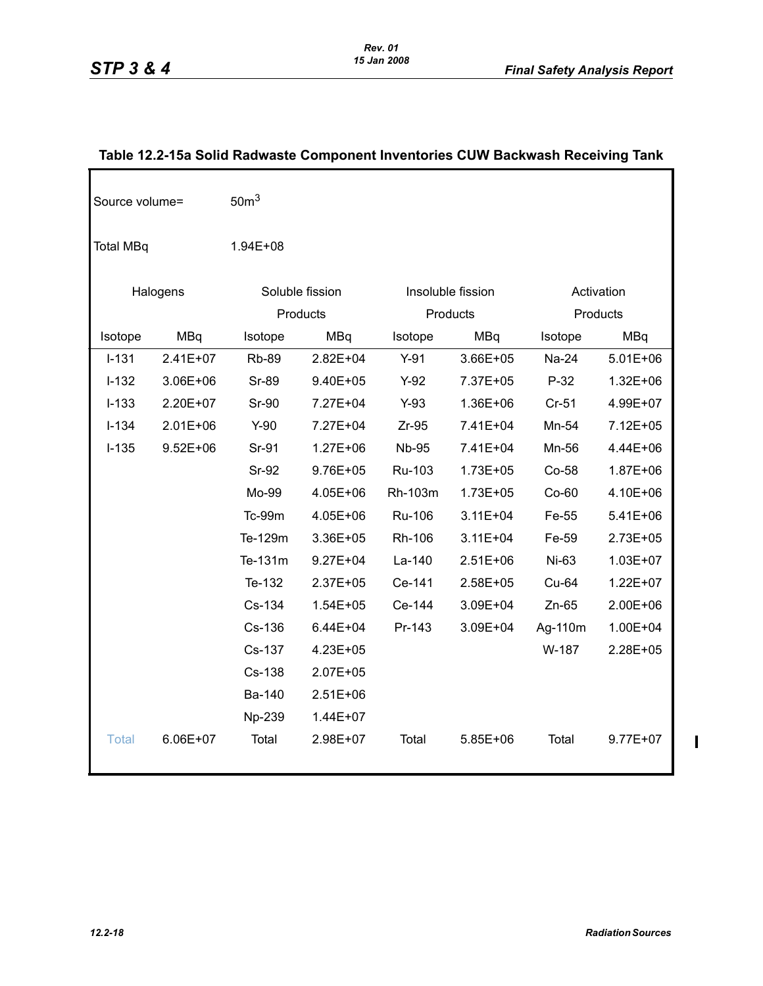| Source volume=   |              | 50 <sup>m3</sup> |                 |              |                   |              |              |  |
|------------------|--------------|------------------|-----------------|--------------|-------------------|--------------|--------------|--|
| <b>Total MBq</b> |              | $1.94E + 08$     |                 |              |                   |              |              |  |
|                  | Halogens     |                  | Soluble fission |              | Insoluble fission |              | Activation   |  |
|                  |              |                  | Products        |              | Products          |              | Products     |  |
| Isotope          | <b>MBq</b>   | Isotope          | <b>MBq</b>      | Isotope      | <b>MBq</b>        | Isotope      | MBq          |  |
| $I - 131$        | $2.41E+07$   | <b>Rb-89</b>     | $2.82E + 04$    | $Y-91$       | 3.66E+05          | <b>Na-24</b> | $5.01E + 06$ |  |
| $I-132$          | 3.06E+06     | <b>Sr-89</b>     | 9.40E+05        | $Y-92$       | 7.37E+05          | $P-32$       | $1.32E + 06$ |  |
| $I-133$          | 2.20E+07     | Sr-90            | 7.27E+04        | $Y-93$       | 1.36E+06          | $Cr-51$      | 4.99E+07     |  |
| $I-134$          | $2.01E + 06$ | $Y-90$           | 7.27E+04        | $Zr-95$      | 7.41E+04          | Mn-54        | 7.12E+05     |  |
| $I-135$          | $9.52E + 06$ | Sr-91            | $1.27E + 06$    | <b>Nb-95</b> | 7.41E+04          | Mn-56        | 4.44E+06     |  |
|                  |              | Sr-92            | 9.76E+05        | Ru-103       | $1.73E + 05$      | Co-58        | 1.87E+06     |  |
|                  |              | Mo-99            | 4.05E+06        | Rh-103m      | 1.73E+05          | $Co-60$      | 4.10E+06     |  |
|                  |              | Tc-99m           | 4.05E+06        | Ru-106       | $3.11E + 04$      | Fe-55        | 5.41E+06     |  |
|                  |              | Te-129m          | 3.36E+05        | Rh-106       | $3.11E + 04$      | Fe-59        | 2.73E+05     |  |
|                  |              | Te-131m          | $9.27E + 04$    | La-140       | 2.51E+06          | Ni-63        | 1.03E+07     |  |
|                  |              | Te-132           | $2.37E + 05$    | Ce-141       | 2.58E+05          | Cu-64        | 1.22E+07     |  |
|                  |              | Cs-134           | $1.54E + 05$    | Ce-144       | 3.09E+04          | $Zn-65$      | 2.00E+06     |  |
|                  |              | Cs-136           | $6.44E + 04$    | Pr-143       | 3.09E+04          | Ag-110m      | 1.00E+04     |  |
|                  |              | Cs-137           | 4.23E+05        |              |                   | W-187        | 2.28E+05     |  |
|                  |              | Cs-138           | 2.07E+05        |              |                   |              |              |  |
|                  |              | Ba-140           | $2.51E+06$      |              |                   |              |              |  |
|                  |              | Np-239           | 1.44E+07        |              |                   |              |              |  |
| <b>Total</b>     | 6.06E+07     | Total            | 2.98E+07        | Total        | 5.85E+06          | Total        | 9.77E+07     |  |

## **Table 12.2-15a Solid Radwaste Component Inventories CUW Backwash Receiving Tank**

 $\begin{array}{c} \rule{0pt}{2.5ex} \rule{0pt}{2.5ex} \rule{0pt}{2.5ex} \rule{0pt}{2.5ex} \rule{0pt}{2.5ex} \rule{0pt}{2.5ex} \rule{0pt}{2.5ex} \rule{0pt}{2.5ex} \rule{0pt}{2.5ex} \rule{0pt}{2.5ex} \rule{0pt}{2.5ex} \rule{0pt}{2.5ex} \rule{0pt}{2.5ex} \rule{0pt}{2.5ex} \rule{0pt}{2.5ex} \rule{0pt}{2.5ex} \rule{0pt}{2.5ex} \rule{0pt}{2.5ex} \rule{0pt}{2.5ex} \rule{0$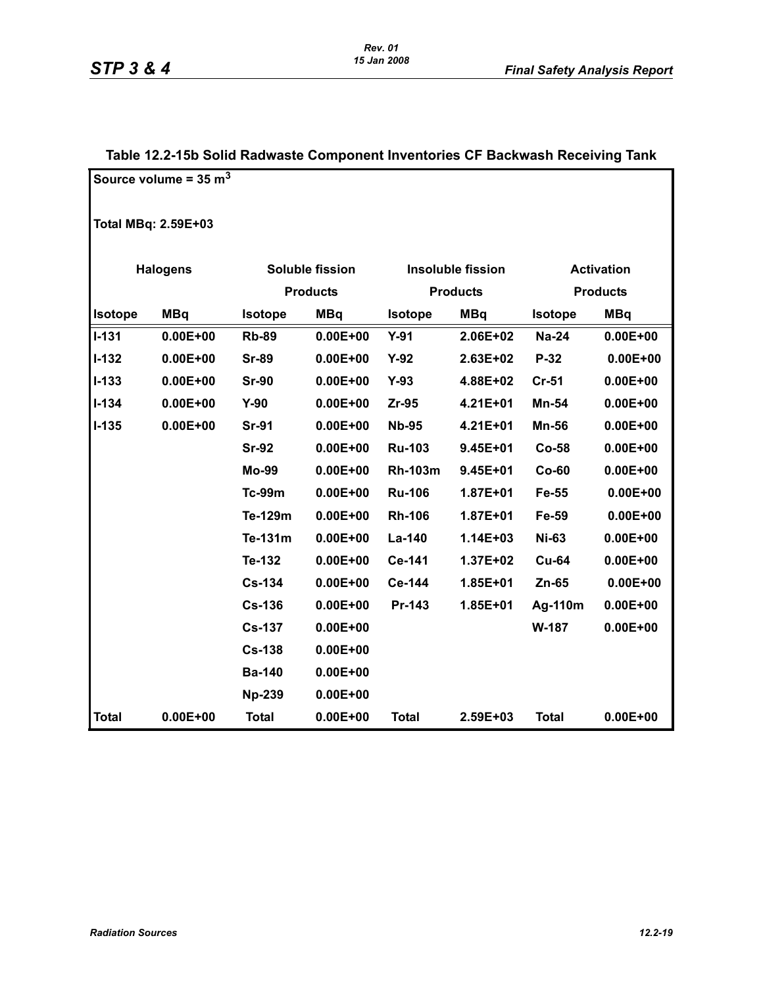|                | <b>Sond Redwaste Somponent inventories</b> |                |                        |                |                          |                |                   |  |
|----------------|--------------------------------------------|----------------|------------------------|----------------|--------------------------|----------------|-------------------|--|
|                | Source volume = $35 \text{ m}^3$           |                |                        |                |                          |                |                   |  |
|                | <b>Total MBq: 2.59E+03</b>                 |                |                        |                |                          |                |                   |  |
|                | <b>Halogens</b>                            |                | <b>Soluble fission</b> |                | <b>Insoluble fission</b> |                | <b>Activation</b> |  |
|                |                                            |                | <b>Products</b>        |                | <b>Products</b>          |                | <b>Products</b>   |  |
| <b>Isotope</b> | <b>MBq</b>                                 | <b>Isotope</b> | <b>MBq</b>             | <b>Isotope</b> | <b>MBq</b>               | <b>Isotope</b> | <b>MBq</b>        |  |
| $I - 131$      | $0.00E + 00$                               | <b>Rb-89</b>   | $0.00E + 00$           | $Y-91$         | 2.06E+02                 | <b>Na-24</b>   | $0.00E + 00$      |  |
| $I - 132$      | $0.00E + 00$                               | <b>Sr-89</b>   | $0.00E + 00$           | $Y-92$         | 2.63E+02                 | $P-32$         | $0.00E + 00$      |  |
| $I - 133$      | $0.00E + 00$                               | <b>Sr-90</b>   | $0.00E + 00$           | $Y-93$         | 4.88E+02                 | $Cr-51$        | $0.00E + 00$      |  |
| $I - 134$      | $0.00E + 00$                               | $Y-90$         | $0.00E + 00$           | Zr-95          | 4.21E+01                 | Mn-54          | $0.00E + 00$      |  |
| $I-135$        | $0.00E + 00$                               | <b>Sr-91</b>   | $0.00E + 00$           | <b>Nb-95</b>   | 4.21E+01                 | <b>Mn-56</b>   | $0.00E + 00$      |  |
|                |                                            | <b>Sr-92</b>   | $0.00E + 00$           | <b>Ru-103</b>  | $9.45E + 01$             | <b>Co-58</b>   | $0.00E + 00$      |  |
|                |                                            | <b>Mo-99</b>   | $0.00E + 00$           | <b>Rh-103m</b> | $9.45E + 01$             | $Co-60$        | $0.00E + 00$      |  |
|                |                                            | <b>Tc-99m</b>  | $0.00E + 00$           | <b>Ru-106</b>  | $1.87E + 01$             | Fe-55          | $0.00E + 00$      |  |
|                |                                            | Te-129m        | $0.00E + 00$           | <b>Rh-106</b>  | 1.87E+01                 | Fe-59          | $0.00E + 00$      |  |
|                |                                            | Te-131m        | $0.00E + 00$           | La-140         | 1.14E+03                 | <b>Ni-63</b>   | $0.00E + 00$      |  |
|                |                                            | Te-132         | $0.00E + 00$           | Ce-141         | 1.37E+02                 | <b>Cu-64</b>   | $0.00E + 00$      |  |
|                |                                            | <b>Cs-134</b>  | $0.00E + 00$           | Ce-144         | 1.85E+01                 | $Zn-65$        | $0.00E + 00$      |  |
|                |                                            | <b>Cs-136</b>  | $0.00E + 00$           | Pr-143         | 1.85E+01                 | Ag-110m        | $0.00E + 00$      |  |
|                |                                            | <b>Cs-137</b>  | $0.00E + 00$           |                |                          | W-187          | $0.00E + 00$      |  |
|                |                                            | <b>Cs-138</b>  | $0.00E + 00$           |                |                          |                |                   |  |
|                |                                            | <b>Ba-140</b>  | $0.00E + 00$           |                |                          |                |                   |  |
|                |                                            | <b>Np-239</b>  | $0.00E + 00$           |                |                          |                |                   |  |
| <b>Total</b>   | $0.00E + 00$                               | <b>Total</b>   | $0.00E + 00$           | <b>Total</b>   | 2.59E+03                 | <b>Total</b>   | $0.00E + 00$      |  |

## **Table 12.2-15b Solid Radwaste Component Inventories CF Backwash Receiving Tank**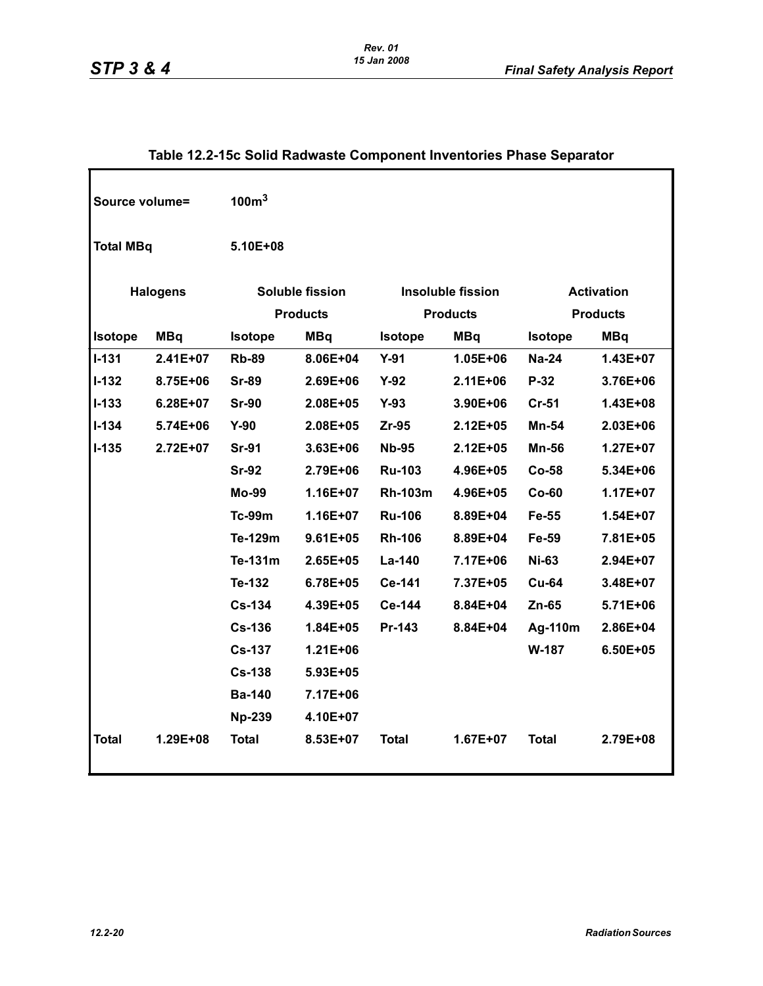| Source volume=   |                 | 100m <sup>3</sup>                         |              |                                             |              |                                      |              |  |  |  |
|------------------|-----------------|-------------------------------------------|--------------|---------------------------------------------|--------------|--------------------------------------|--------------|--|--|--|
| <b>Total MBq</b> |                 | 5.10E+08                                  |              |                                             |              |                                      |              |  |  |  |
|                  | <b>Halogens</b> | <b>Soluble fission</b><br><b>Products</b> |              | <b>Insoluble fission</b><br><b>Products</b> |              | <b>Activation</b><br><b>Products</b> |              |  |  |  |
| <b>Isotope</b>   | <b>MBq</b>      | <b>Isotope</b>                            | <b>MBq</b>   | <b>Isotope</b>                              | <b>MBq</b>   | <b>Isotope</b>                       | <b>MBq</b>   |  |  |  |
| $I-131$          | 2.41E+07        | <b>Rb-89</b>                              | 8.06E+04     | $Y-91$                                      | $1.05E + 06$ | <b>Na-24</b>                         | 1.43E+07     |  |  |  |
| $I-132$          | 8.75E+06        | <b>Sr-89</b>                              | $2.69E + 06$ | $Y-92$                                      | $2.11E + 06$ | P-32                                 | 3.76E+06     |  |  |  |
| $I-133$          | $6.28E + 07$    | <b>Sr-90</b>                              | 2.08E+05     | $Y-93$                                      | 3.90E+06     | $Cr-51$                              | 1.43E+08     |  |  |  |
| $I - 134$        | 5.74E+06        | $Y-90$                                    | 2.08E+05     | $Zr-95$                                     | $2.12E + 05$ | Mn-54                                | 2.03E+06     |  |  |  |
| $I-135$          | 2.72E+07        | <b>Sr-91</b>                              | 3.63E+06     | <b>Nb-95</b>                                | $2.12E + 05$ | Mn-56                                | $1.27E + 07$ |  |  |  |
|                  |                 | <b>Sr-92</b>                              | 2.79E+06     | <b>Ru-103</b>                               | 4.96E+05     | Co-58                                | 5.34E+06     |  |  |  |
|                  |                 | <b>Mo-99</b>                              | $1.16E + 07$ | <b>Rh-103m</b>                              | 4.96E+05     | $Co-60$                              | 1.17E+07     |  |  |  |
|                  |                 | $Tc-99m$                                  | $1.16E + 07$ | <b>Ru-106</b>                               | 8.89E+04     | Fe-55                                | $1.54E + 07$ |  |  |  |
|                  |                 | Te-129m                                   | $9.61E + 05$ | <b>Rh-106</b>                               | 8.89E+04     | Fe-59                                | 7.81E+05     |  |  |  |
|                  |                 | Te-131m                                   | $2.65E + 05$ | La-140                                      | 7.17E+06     | <b>Ni-63</b>                         | 2.94E+07     |  |  |  |
|                  |                 | Te-132                                    | 6.78E+05     | Ce-141                                      | 7.37E+05     | <b>Cu-64</b>                         | 3.48E+07     |  |  |  |
|                  |                 | <b>Cs-134</b>                             | 4.39E+05     | Ce-144                                      | 8.84E+04     | $Zn-65$                              | 5.71E+06     |  |  |  |
|                  |                 | <b>Cs-136</b>                             | $1.84E + 05$ | Pr-143                                      | 8.84E+04     | Ag-110m                              | 2.86E+04     |  |  |  |
|                  |                 | <b>Cs-137</b>                             | $1.21E + 06$ |                                             |              | W-187                                | 6.50E+05     |  |  |  |
|                  |                 | <b>Cs-138</b>                             | 5.93E+05     |                                             |              |                                      |              |  |  |  |
|                  |                 | <b>Ba-140</b>                             | 7.17E+06     |                                             |              |                                      |              |  |  |  |
|                  |                 | <b>Np-239</b>                             | 4.10E+07     |                                             |              |                                      |              |  |  |  |
| <b>Total</b>     | 1.29E+08        | <b>Total</b>                              | 8.53E+07     | <b>Total</b>                                | 1.67E+07     | <b>Total</b>                         | 2.79E+08     |  |  |  |

## **Table 12.2-15c Solid Radwaste Component Inventories Phase Separator**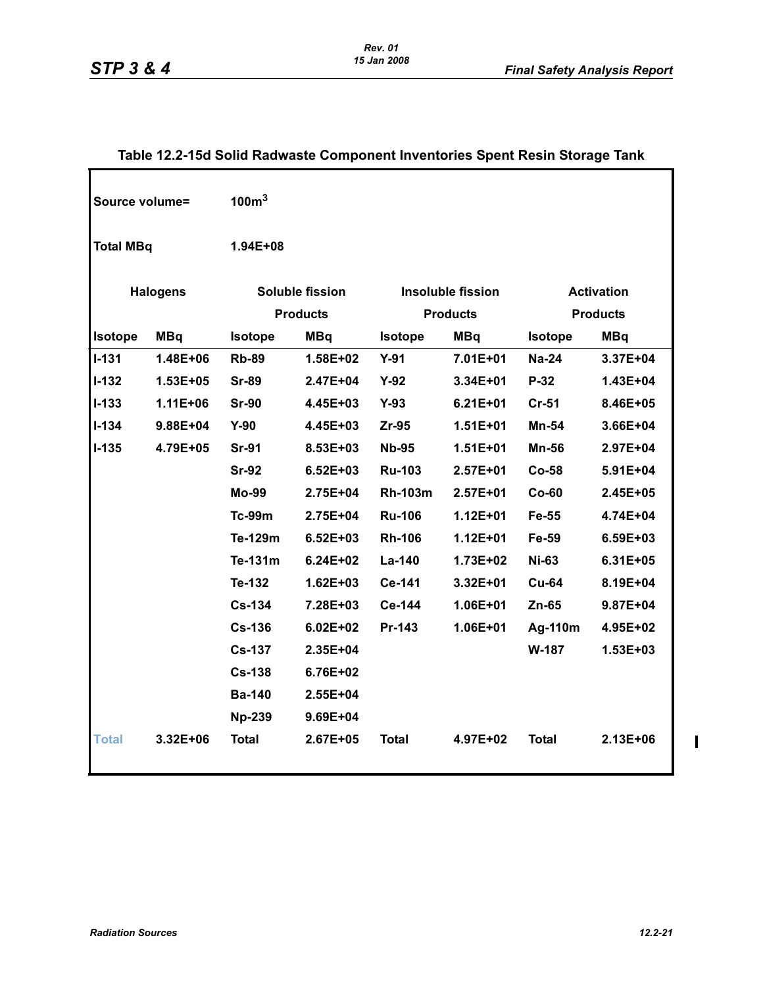| Source volume=   |                 | 100 <sup>m3</sup> |                 |                                               |                 |                |                 |
|------------------|-----------------|-------------------|-----------------|-----------------------------------------------|-----------------|----------------|-----------------|
| <b>Total MBq</b> |                 | 1.94E+08          |                 |                                               |                 |                |                 |
|                  | <b>Halogens</b> |                   | Soluble fission | <b>Insoluble fission</b><br><b>Activation</b> |                 |                |                 |
|                  |                 |                   | <b>Products</b> |                                               | <b>Products</b> |                | <b>Products</b> |
| Isotope          | <b>MBq</b>      | <b>Isotope</b>    | <b>MBq</b>      | <b>Isotope</b>                                | <b>MBq</b>      | <b>Isotope</b> | <b>MBq</b>      |
| $1 - 131$        | 1.48E+06        | <b>Rb-89</b>      | 1.58E+02        | $Y-91$                                        | 7.01E+01        | <b>Na-24</b>   | 3.37E+04        |
| $I-132$          | $1.53E + 05$    | <b>Sr-89</b>      | 2.47E+04        | $Y-92$                                        | 3.34E+01        | P-32           | 1.43E+04        |
| $1 - 133$        | $1.11E + 06$    | <b>Sr-90</b>      | 4.45E+03        | $Y-93$                                        | $6.21E + 01$    | $Cr-51$        | 8.46E+05        |
| $1 - 134$        | 9.88E+04        | $Y-90$            | 4.45E+03        | $Zr-95$                                       | $1.51E + 01$    | <b>Mn-54</b>   | 3.66E+04        |
| <b>I-135</b>     | 4.79E+05        | <b>Sr-91</b>      | 8.53E+03        | <b>Nb-95</b>                                  | $1.51E + 01$    | <b>Mn-56</b>   | 2.97E+04        |
|                  |                 | <b>Sr-92</b>      | $6.52E + 03$    | <b>Ru-103</b>                                 | $2.57E+01$      | $Co-58$        | 5.91E+04        |
|                  |                 | <b>Mo-99</b>      | 2.75E+04        | <b>Rh-103m</b>                                | $2.57E + 01$    | $Co-60$        | 2.45E+05        |
|                  |                 | <b>Tc-99m</b>     | 2.75E+04        | <b>Ru-106</b>                                 | $1.12E + 01$    | Fe-55          | 4.74E+04        |
|                  |                 | Te-129m           | $6.52E + 03$    | <b>Rh-106</b>                                 | $1.12E + 01$    | Fe-59          | 6.59E+03        |
|                  |                 | Te-131m           | $6.24E + 02$    | La-140                                        | 1.73E+02        | <b>Ni-63</b>   | 6.31E+05        |
|                  |                 | Te-132            | $1.62E + 03$    | Ce-141                                        | $3.32E + 01$    | <b>Cu-64</b>   | 8.19E+04        |
|                  |                 | <b>Cs-134</b>     | 7.28E+03        | Ce-144                                        | 1.06E+01        | $Zn-65$        | $9.87E + 04$    |
|                  |                 | <b>Cs-136</b>     | $6.02E + 02$    | Pr-143                                        | 1.06E+01        | Ag-110m        | 4.95E+02        |
|                  |                 | <b>Cs-137</b>     | 2.35E+04        |                                               |                 | W-187          | 1.53E+03        |
|                  |                 | <b>Cs-138</b>     | 6.76E+02        |                                               |                 |                |                 |
|                  |                 | <b>Ba-140</b>     | 2.55E+04        |                                               |                 |                |                 |
|                  |                 | <b>Np-239</b>     | 9.69E+04        |                                               |                 |                |                 |
| Total            | 3.32E+06        | <b>Total</b>      | 2.67E+05        | <b>Total</b>                                  | 4.97E+02        | <b>Total</b>   | 2.13E+06        |
|                  |                 |                   |                 |                                               |                 |                |                 |

## **Table 12.2-15d Solid Radwaste Component Inventories Spent Resin Storage Tank**

 $\begin{array}{c} \rule{0pt}{2.5ex} \rule{0pt}{2.5ex} \rule{0pt}{2.5ex} \rule{0pt}{2.5ex} \rule{0pt}{2.5ex} \rule{0pt}{2.5ex} \rule{0pt}{2.5ex} \rule{0pt}{2.5ex} \rule{0pt}{2.5ex} \rule{0pt}{2.5ex} \rule{0pt}{2.5ex} \rule{0pt}{2.5ex} \rule{0pt}{2.5ex} \rule{0pt}{2.5ex} \rule{0pt}{2.5ex} \rule{0pt}{2.5ex} \rule{0pt}{2.5ex} \rule{0pt}{2.5ex} \rule{0pt}{2.5ex} \rule{0$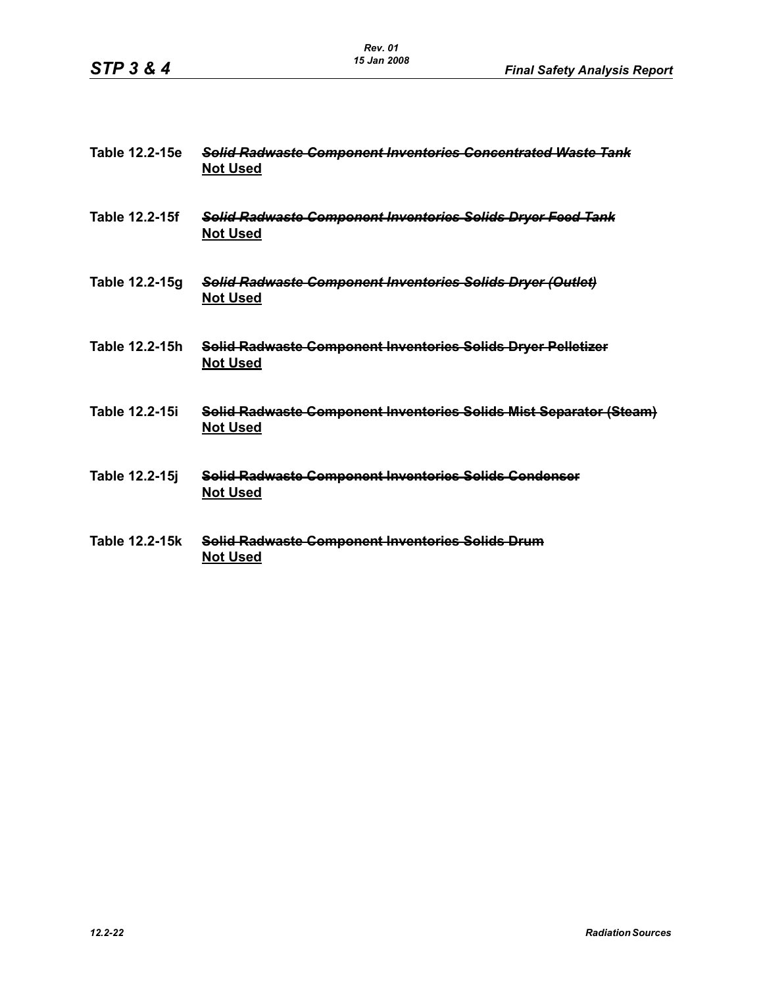| Table 12.2-15e        | <b>Solid Radwaste Component Inventories Concentrated Waste Tank</b><br><b>Not Used</b> |
|-----------------------|----------------------------------------------------------------------------------------|
| Table 12.2-15f        | Solid Radwaste Component Inventories Solids Dryer Feed Tank<br><b>Not Used</b>         |
| Table 12.2-15g        | Solid Radwaste Component Inventories Solids Dryer (Outlet)<br><b>Not Used</b>          |
| Table 12.2-15h        | Solid Radwaste Component Inventories Solids Dryer Pelletizer<br><b>Not Used</b>        |
| <b>Table 12.2-15i</b> | Solid Radwaste Component Inventories Solids Mist Separator (Steam)<br><b>Not Used</b>  |
| Table 12.2-15j        | Solid Radwaste Component Inventories Solids Condenser<br><b>Not Used</b>               |
| Table 12.2-15k        | Solid Radwasto Component Inventories Solids Drum<br><b>Not Used</b>                    |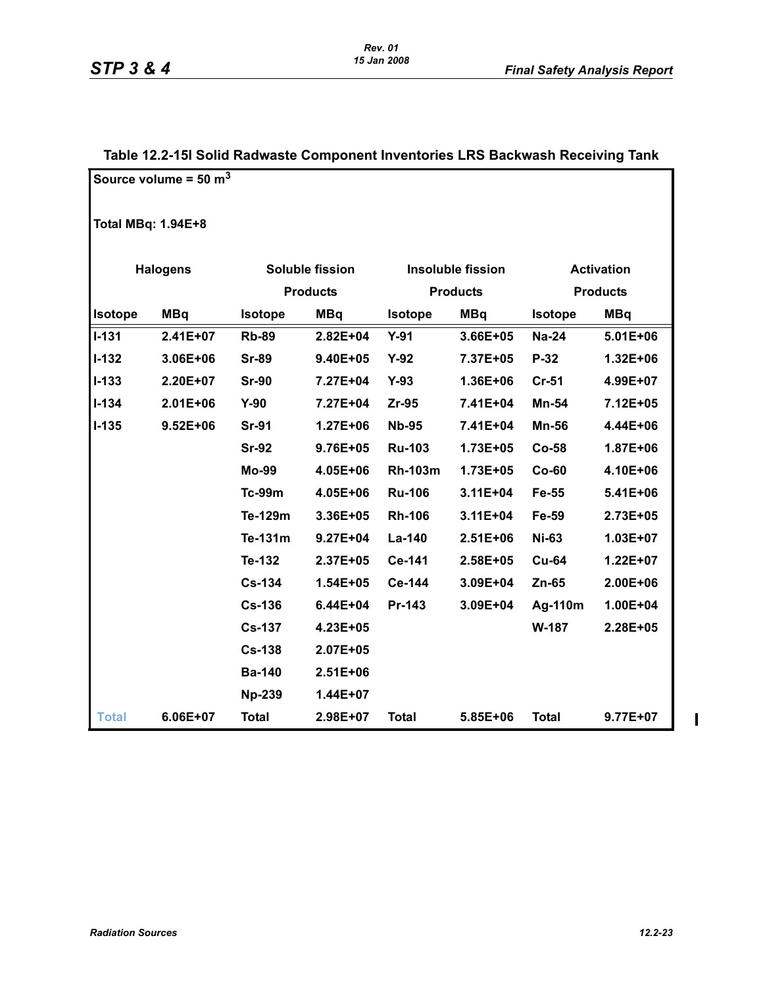|                           | Source volume = $50 \text{ m}^3$ |                |                        |                          |                 |                   |                                                                                                                                                                                                   |  |  |
|---------------------------|----------------------------------|----------------|------------------------|--------------------------|-----------------|-------------------|---------------------------------------------------------------------------------------------------------------------------------------------------------------------------------------------------|--|--|
| <b>Total MBq: 1.94E+8</b> |                                  |                |                        |                          |                 |                   |                                                                                                                                                                                                   |  |  |
|                           | <b>Halogens</b>                  |                | <b>Soluble fission</b> | <b>Insoluble fission</b> |                 | <b>Activation</b> |                                                                                                                                                                                                   |  |  |
|                           |                                  |                | <b>Products</b>        |                          | <b>Products</b> |                   | <b>Products</b><br><b>MBq</b><br>$5.01E + 06$<br>1.32E+06<br>4.99E+07<br>7.12E+05<br>4.44E+06<br>1.87E+06<br>4.10E+06<br>5.41E+06<br>2.73E+05<br>1.03E+07<br>$1.22E + 07$<br>2.00E+06<br>1.00E+04 |  |  |
| <b>Isotope</b>            | <b>MBq</b>                       | <b>Isotope</b> | <b>MBq</b>             | <b>Isotope</b>           | <b>MBq</b>      | <b>Isotope</b>    |                                                                                                                                                                                                   |  |  |
| $ 1 - 131 $               | 2.41E+07                         | <b>Rb-89</b>   | 2.82E+04               | $Y-91$                   | 3.66E+05        | <b>Na-24</b>      |                                                                                                                                                                                                   |  |  |
| <b>I-132</b>              | 3.06E+06                         | <b>Sr-89</b>   | 9.40E+05               | $Y-92$                   | 7.37E+05        | P-32              |                                                                                                                                                                                                   |  |  |
| $1 - 133$                 | 2.20E+07                         | <b>Sr-90</b>   | 7.27E+04               | $Y-93$                   | 1.36E+06        | $Cr-51$           |                                                                                                                                                                                                   |  |  |
| $1 - 134$                 | $2.01E + 06$                     | $Y-90$         | 7.27E+04               | $Zr-95$                  | 7.41E+04        | Mn-54             |                                                                                                                                                                                                   |  |  |
| <b>I-135</b>              | $9.52E + 06$                     | <b>Sr-91</b>   | 1.27E+06               | <b>Nb-95</b>             | 7.41E+04        | <b>Mn-56</b>      |                                                                                                                                                                                                   |  |  |
|                           |                                  | <b>Sr-92</b>   | 9.76E+05               | <b>Ru-103</b>            | 1.73E+05        | $Co-58$           |                                                                                                                                                                                                   |  |  |
|                           |                                  | Mo-99          | 4.05E+06               | <b>Rh-103m</b>           | 1.73E+05        | $Co-60$           |                                                                                                                                                                                                   |  |  |
|                           |                                  | <b>Tc-99m</b>  | 4.05E+06               | <b>Ru-106</b>            | $3.11E + 04$    | Fe-55             |                                                                                                                                                                                                   |  |  |
|                           |                                  | Te-129m        | 3.36E+05               | <b>Rh-106</b>            | $3.11E + 04$    | Fe-59             |                                                                                                                                                                                                   |  |  |
|                           |                                  | Te-131m        | $9.27E + 04$           | La-140                   | 2.51E+06        | <b>Ni-63</b>      |                                                                                                                                                                                                   |  |  |
|                           |                                  | Te-132         | 2.37E+05               | Ce-141                   | 2.58E+05        | <b>Cu-64</b>      |                                                                                                                                                                                                   |  |  |
|                           |                                  | <b>Cs-134</b>  | 1.54E+05               | Ce-144                   | 3.09E+04        | $Zn-65$           |                                                                                                                                                                                                   |  |  |
|                           |                                  | <b>Cs-136</b>  | $6.44E + 04$           | Pr-143                   | 3.09E+04        | Ag-110m           |                                                                                                                                                                                                   |  |  |
|                           |                                  | <b>Cs-137</b>  | 4.23E+05               |                          |                 | W-187             | 2.28E+05                                                                                                                                                                                          |  |  |
|                           |                                  | <b>Cs-138</b>  | 2.07E+05               |                          |                 |                   |                                                                                                                                                                                                   |  |  |
|                           |                                  | <b>Ba-140</b>  | $2.51E + 06$           |                          |                 |                   |                                                                                                                                                                                                   |  |  |
|                           |                                  | <b>Np-239</b>  | 1.44E+07               |                          |                 |                   |                                                                                                                                                                                                   |  |  |
| <b>Total</b>              | 6.06E+07                         | <b>Total</b>   | 2.98E+07               | <b>Total</b>             | 5.85E+06        | <b>Total</b>      | 9.77E+07                                                                                                                                                                                          |  |  |

#### **Table 12.2-15l Solid Radwaste Component Inventories LRS Backwash Receiving Tank**

 $\begin{array}{c} \hline \end{array}$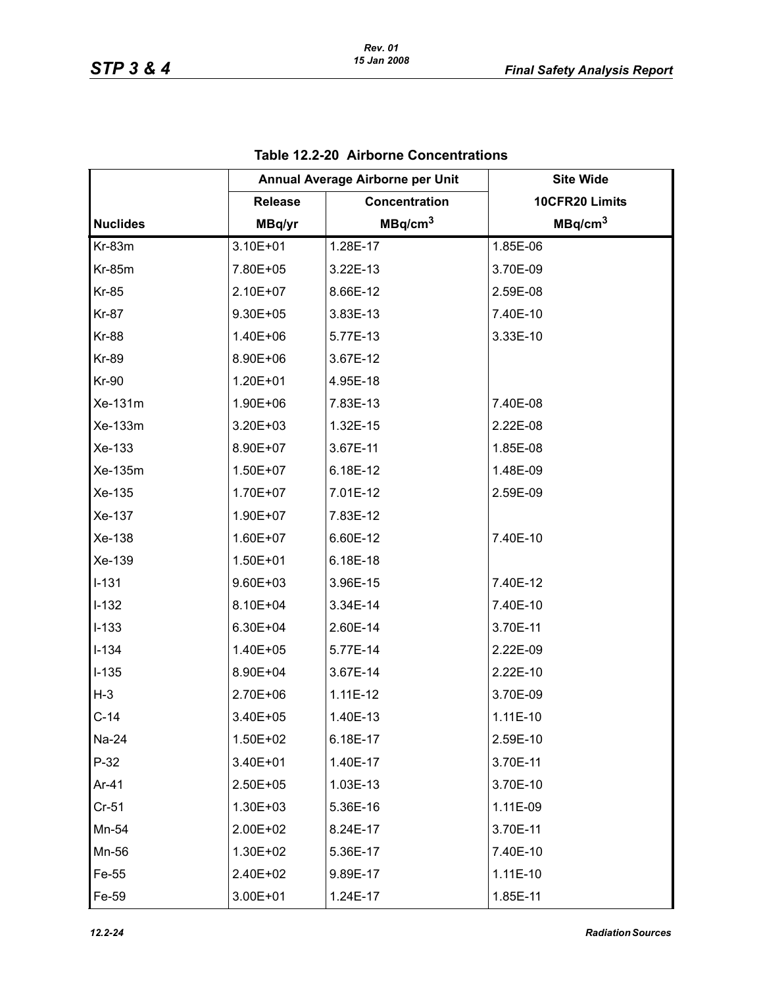|                 | Annual Average Airborne per Unit |                     | <b>Site Wide</b>    |
|-----------------|----------------------------------|---------------------|---------------------|
|                 | <b>Release</b>                   | Concentration       | 10CFR20 Limits      |
| <b>Nuclides</b> | MBq/yr                           | MBq/cm <sup>3</sup> | MBq/cm <sup>3</sup> |
| <b>Kr-83m</b>   | 3.10E+01                         | 1.28E-17            | 1.85E-06            |
| <b>Kr-85m</b>   | 7.80E+05                         | 3.22E-13            | 3.70E-09            |
| <b>Kr-85</b>    | 2.10E+07                         | 8.66E-12            | 2.59E-08            |
| <b>Kr-87</b>    | 9.30E+05                         | 3.83E-13            | 7.40E-10            |
| <b>Kr-88</b>    | 1.40E+06                         | 5.77E-13            | 3.33E-10            |
| <b>Kr-89</b>    | 8.90E+06                         | 3.67E-12            |                     |
| <b>Kr-90</b>    | 1.20E+01                         | 4.95E-18            |                     |
| Xe-131m         | 1.90E+06                         | 7.83E-13            | 7.40E-08            |
| Xe-133m         | 3.20E+03                         | 1.32E-15            | 2.22E-08            |
| Xe-133          | 8.90E+07                         | 3.67E-11            | 1.85E-08            |
| Xe-135m         | 1.50E+07                         | 6.18E-12            | 1.48E-09            |
| Xe-135          | 1.70E+07                         | 7.01E-12            | 2.59E-09            |
| Xe-137          | 1.90E+07                         | 7.83E-12            |                     |
| Xe-138          | 1.60E+07                         | 6.60E-12            | 7.40E-10            |
| Xe-139          | 1.50E+01                         | 6.18E-18            |                     |
| $I-131$         | 9.60E+03                         | 3.96E-15            | 7.40E-12            |
| $I-132$         | 8.10E+04                         | 3.34E-14            | 7.40E-10            |
| $I-133$         | 6.30E+04                         | 2.60E-14            | 3.70E-11            |
| $I-134$         | 1.40E+05                         | 5.77E-14            | 2.22E-09            |
| $I-135$         | 8.90E+04                         | 3.67E-14            | 2.22E-10            |
| $H-3$           | 2.70E+06                         | $1.11E-12$          | 3.70E-09            |
| $C-14$          | 3.40E+05                         | 1.40E-13            | 1.11E-10            |
| Na-24           | 1.50E+02                         | 6.18E-17            | 2.59E-10            |
| $P-32$          | 3.40E+01                         | 1.40E-17            | 3.70E-11            |
| Ar-41           | 2.50E+05                         | 1.03E-13            | 3.70E-10            |
| $Cr-51$         | 1.30E+03                         | 5.36E-16            | 1.11E-09            |
| Mn-54           | 2.00E+02                         | 8.24E-17            | 3.70E-11            |
| Mn-56           | 1.30E+02                         | 5.36E-17            | 7.40E-10            |
| Fe-55           | 2.40E+02                         | 9.89E-17            | $1.11E-10$          |
| Fe-59           | 3.00E+01                         | 1.24E-17            | 1.85E-11            |

# **Table 12.2-20 Airborne Concentrations**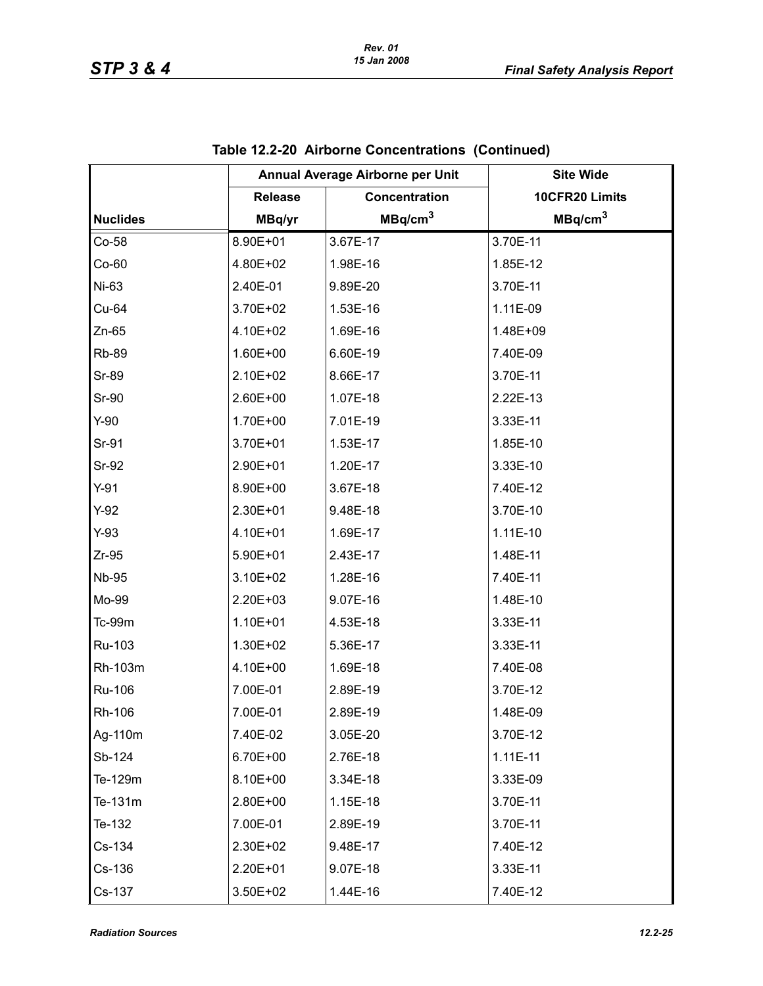|                 |                | Annual Average Airborne per Unit | <b>Site Wide</b>    |
|-----------------|----------------|----------------------------------|---------------------|
|                 | <b>Release</b> | Concentration                    | 10CFR20 Limits      |
| <b>Nuclides</b> | MBq/yr         | MBq/cm <sup>3</sup>              | MBq/cm <sup>3</sup> |
| Co-58           | 8.90E+01       | 3.67E-17                         | 3.70E-11            |
| $Co-60$         | 4.80E+02       | 1.98E-16                         | 1.85E-12            |
| Ni-63           | 2.40E-01       | 9.89E-20                         | 3.70E-11            |
| Cu-64           | 3.70E+02       | 1.53E-16                         | 1.11E-09            |
| $Zn-65$         | 4.10E+02       | 1.69E-16                         | 1.48E+09            |
| <b>Rb-89</b>    | 1.60E+00       | 6.60E-19                         | 7.40E-09            |
| <b>Sr-89</b>    | 2.10E+02       | 8.66E-17                         | 3.70E-11            |
| <b>Sr-90</b>    | 2.60E+00       | 1.07E-18                         | 2.22E-13            |
| $Y-90$          | 1.70E+00       | 7.01E-19                         | 3.33E-11            |
| Sr-91           | 3.70E+01       | 1.53E-17                         | 1.85E-10            |
| Sr-92           | 2.90E+01       | 1.20E-17                         | 3.33E-10            |
| $Y-91$          | 8.90E+00       | 3.67E-18                         | 7.40E-12            |
| $Y-92$          | 2.30E+01       | 9.48E-18                         | 3.70E-10            |
| $Y-93$          | 4.10E+01       | 1.69E-17                         | 1.11E-10            |
| $Zr-95$         | 5.90E+01       | 2.43E-17                         | 1.48E-11            |
| <b>Nb-95</b>    | 3.10E+02       | 1.28E-16                         | 7.40E-11            |
| Mo-99           | 2.20E+03       | 9.07E-16                         | 1.48E-10            |
| Tc-99m          | 1.10E+01       | 4.53E-18                         | 3.33E-11            |
| Ru-103          | 1.30E+02       | 5.36E-17                         | 3.33E-11            |
| Rh-103m         | 4.10E+00       | 1.69E-18                         | 7.40E-08            |
| Ru-106          | 7.00E-01       | 2.89E-19                         | 3.70E-12            |
| Rh-106          | 7.00E-01       | 2.89E-19                         | 1.48E-09            |
| Ag-110m         | 7.40E-02       | 3.05E-20                         | 3.70E-12            |
| Sb-124          | 6.70E+00       | 2.76E-18                         | $1.11E-11$          |
| Te-129m         | 8.10E+00       | 3.34E-18                         | 3.33E-09            |
| Te-131m         | 2.80E+00       | 1.15E-18                         | 3.70E-11            |
| Te-132          | 7.00E-01       | 2.89E-19                         | 3.70E-11            |
| Cs-134          | 2.30E+02       | 9.48E-17                         | 7.40E-12            |
| Cs-136          | 2.20E+01       | 9.07E-18                         | 3.33E-11            |
| Cs-137          | 3.50E+02       | 1.44E-16                         | 7.40E-12            |

**Table 12.2-20 Airborne Concentrations (Continued)**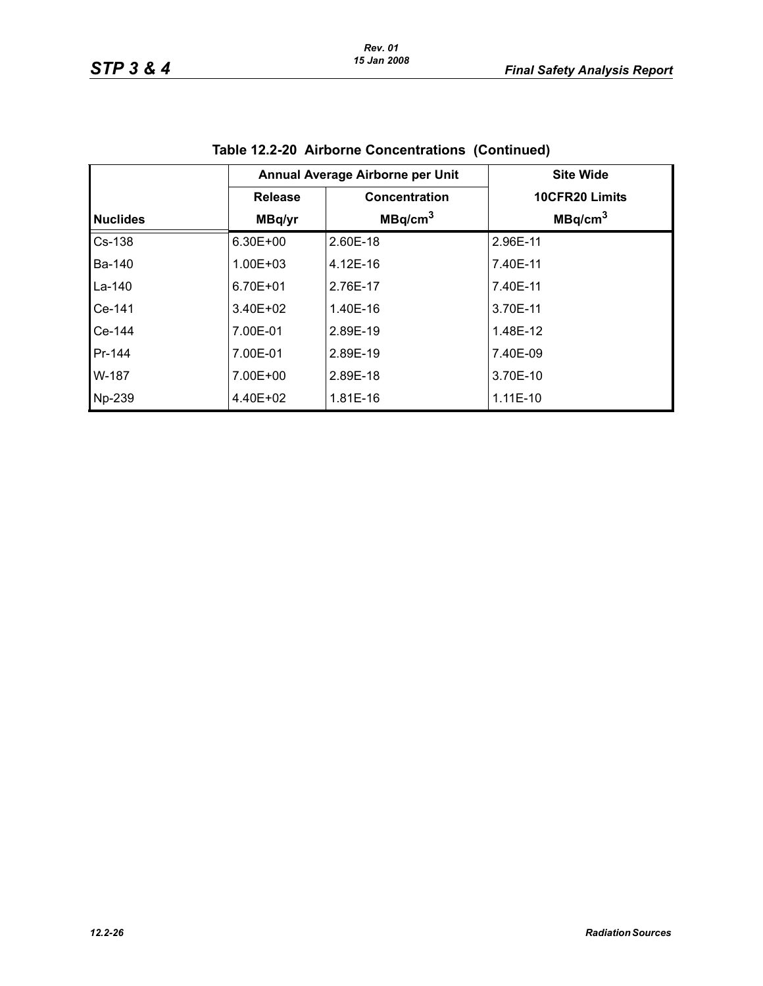|                 |                | Annual Average Airborne per Unit | <b>Site Wide</b>    |
|-----------------|----------------|----------------------------------|---------------------|
|                 | <b>Release</b> | Concentration                    | 10CFR20 Limits      |
| <b>Nuclides</b> | MBq/yr         | MBq/cm <sup>3</sup>              | MBq/cm <sup>3</sup> |
| Cs-138          | 6.30E+00       | 2.60E-18                         | 2.96E-11            |
| <b>Ba-140</b>   | 1.00E+03       | 4.12E-16                         | 7.40E-11            |
| La-140          | 6.70E+01       | 2.76E-17                         | 7.40E-11            |
| Ce-141          | $3.40E + 02$   | 1.40E-16                         | 3.70E-11            |
| Ce-144          | 7.00E-01       | 2.89E-19                         | 1.48E-12            |
| Pr-144          | 7.00E-01       | 2.89E-19                         | 7.40E-09            |
| W-187           | 7.00E+00       | 2.89E-18                         | 3.70E-10            |
| Np-239          | 4.40E+02       | 1.81E-16                         | $1.11E-10$          |

|  |  | Table 12.2-20 Airborne Concentrations (Continued) |  |
|--|--|---------------------------------------------------|--|
|--|--|---------------------------------------------------|--|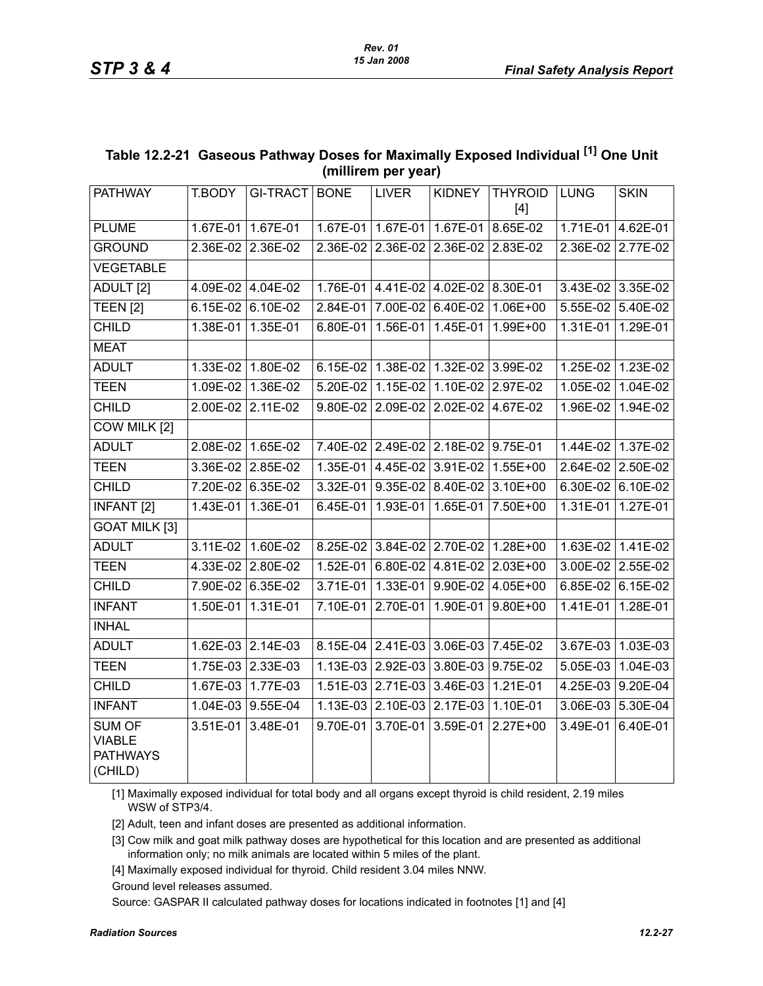| <b>THYROID</b><br><b>PATHWAY</b><br>T.BODY<br>GI-TRACT<br><b>BONE</b><br><b>LIVER</b><br><b>KIDNEY</b><br><b>LUNG</b><br>$[4]$<br>1.67E-01   1.67E-01   1.67E-01<br>8.65E-02<br>1.71E-01<br><b>PLUME</b><br>1.67E-01 1.67E-01<br><b>GROUND</b><br>2.36E-02 2.36E-02<br>2.36E-02<br>2.36E-02<br>2.36E-02<br>2.83E-02<br>2.36E-02<br><b>VEGETABLE</b><br>ADULT <sub>[2]</sub><br>4.09E-02 4.04E-02<br>1.76E-01<br>4.41E-02 4.02E-02 8.30E-01<br>3.43E-02 3.35E-02<br><b>TEEN [2]</b><br>6.15E-02 6.10E-02<br>7.00E-02<br>6.40E-02<br>5.55E-02<br>2.84E-01<br>1.06E+00<br><b>CHILD</b><br>1.38E-01<br>1.35E-01<br>6.80E-01<br>1.56E-01<br>1.45E-01<br>1.99E+00<br>1.31E-01<br><b>MEAT</b><br><b>ADULT</b><br>1.33E-02 1.80E-02<br>6.15E-02   1.38E-02   1.32E-02   3.99E-02<br>1.25E-02 1.23E-02<br><b>TEEN</b><br>1.09E-02 1.36E-02<br>1.15E-02 1.10E-02 2.97E-02<br>$1.05E-02$<br>5.20E-02<br><b>CHILD</b><br>2.00E-02 2.11E-02<br>9.80E-02<br>2.09E-02<br>2.02E-02<br>4.67E-02<br>1.96E-02<br>COW MILK [2]<br><b>ADULT</b><br>2.08E-02 1.65E-02<br>7.40E-02 2.49E-02 2.18E-02 9.75E-01<br>1.44E-02 1.37E-02<br>3.91E-02<br><b>TEEN</b><br>3.36E-02 2.85E-02<br>1.35E-01<br>4.45E-02<br>$1.55E + 00$<br>2.64E-02<br><b>CHILD</b><br>7.20E-02 6.35E-02<br>3.32E-01<br>$9.35E-02$ 8.40E-02<br>3.10E+00<br>$6.30E-02$<br><b>INFANT [2]</b><br>1.36E-01<br>6.45E-01<br>1.93E-01<br>1.65E-01<br>1.31E-01<br>1.43E-01<br>7.50E+00<br><b>GOAT MILK [3]</b><br><b>ADULT</b><br>3.11E-02 1.60E-02<br>8.25E-02 3.84E-02 2.70E-02<br>$1.28E+00$<br>1.63E-02 1.41E-02<br><b>TEEN</b><br>4.33E-02 2.80E-02<br>1.52E-01<br>6.80E-02 4.81E-02 2.03E+00<br>3.00E-02 2.55E-02<br><b>CHILD</b><br>7.90E-02 6.35E-02<br>$3.71E-01$<br>1.33E-01<br>9.90E-02<br>$6.85E-02$<br>4.05E+00<br><b>INFANT</b><br>1.50E-01 1.31E-01<br>2.70E-01<br>7.10E-01<br>1.90E-01<br>$9.80E + 00$<br>1.41E-01<br><b>INHAL</b><br><b>ADULT</b><br>1.62E-03 2.14E-03<br>8.15E-04 2.41E-03<br>3.06E-03<br>7.45E-02<br>3.67E-03 1.03E-03<br><b>TEEN</b><br>1.75E-03 2.33E-03<br>$3.80E-03$<br>1.13E-03<br>2.92E-03<br>9.75E-02<br>5.05E-03<br><b>CHILD</b><br>1.51E-03 2.71E-03<br>3.46E-03<br>1.21E-01<br>4.25E-03 9.20E-04<br>1.67E-03 1.77E-03<br><b>INFANT</b><br>1.04E-03 9.55E-04<br>1.13E-03<br>2.10E-03<br>2.17E-03<br>1.10E-01<br>3.06E-03<br><b>SUM OF</b><br>3.51E-01 3.48E-01<br>9.70E-01<br>3.70E-01<br>3.59E-01<br>3.49E-01<br>2.27E+00<br><b>VIABLE</b> |                 |  |  |  |             |
|-----------------------------------------------------------------------------------------------------------------------------------------------------------------------------------------------------------------------------------------------------------------------------------------------------------------------------------------------------------------------------------------------------------------------------------------------------------------------------------------------------------------------------------------------------------------------------------------------------------------------------------------------------------------------------------------------------------------------------------------------------------------------------------------------------------------------------------------------------------------------------------------------------------------------------------------------------------------------------------------------------------------------------------------------------------------------------------------------------------------------------------------------------------------------------------------------------------------------------------------------------------------------------------------------------------------------------------------------------------------------------------------------------------------------------------------------------------------------------------------------------------------------------------------------------------------------------------------------------------------------------------------------------------------------------------------------------------------------------------------------------------------------------------------------------------------------------------------------------------------------------------------------------------------------------------------------------------------------------------------------------------------------------------------------------------------------------------------------------------------------------------------------------------------------------------------------------------------------------------------------------------------------------------------------------------------------------------------------------------------------------------------------------------------------------|-----------------|--|--|--|-------------|
|                                                                                                                                                                                                                                                                                                                                                                                                                                                                                                                                                                                                                                                                                                                                                                                                                                                                                                                                                                                                                                                                                                                                                                                                                                                                                                                                                                                                                                                                                                                                                                                                                                                                                                                                                                                                                                                                                                                                                                                                                                                                                                                                                                                                                                                                                                                                                                                                                             |                 |  |  |  | <b>SKIN</b> |
|                                                                                                                                                                                                                                                                                                                                                                                                                                                                                                                                                                                                                                                                                                                                                                                                                                                                                                                                                                                                                                                                                                                                                                                                                                                                                                                                                                                                                                                                                                                                                                                                                                                                                                                                                                                                                                                                                                                                                                                                                                                                                                                                                                                                                                                                                                                                                                                                                             |                 |  |  |  | 4.62E-01    |
|                                                                                                                                                                                                                                                                                                                                                                                                                                                                                                                                                                                                                                                                                                                                                                                                                                                                                                                                                                                                                                                                                                                                                                                                                                                                                                                                                                                                                                                                                                                                                                                                                                                                                                                                                                                                                                                                                                                                                                                                                                                                                                                                                                                                                                                                                                                                                                                                                             |                 |  |  |  | 2.77E-02    |
|                                                                                                                                                                                                                                                                                                                                                                                                                                                                                                                                                                                                                                                                                                                                                                                                                                                                                                                                                                                                                                                                                                                                                                                                                                                                                                                                                                                                                                                                                                                                                                                                                                                                                                                                                                                                                                                                                                                                                                                                                                                                                                                                                                                                                                                                                                                                                                                                                             |                 |  |  |  |             |
|                                                                                                                                                                                                                                                                                                                                                                                                                                                                                                                                                                                                                                                                                                                                                                                                                                                                                                                                                                                                                                                                                                                                                                                                                                                                                                                                                                                                                                                                                                                                                                                                                                                                                                                                                                                                                                                                                                                                                                                                                                                                                                                                                                                                                                                                                                                                                                                                                             |                 |  |  |  |             |
|                                                                                                                                                                                                                                                                                                                                                                                                                                                                                                                                                                                                                                                                                                                                                                                                                                                                                                                                                                                                                                                                                                                                                                                                                                                                                                                                                                                                                                                                                                                                                                                                                                                                                                                                                                                                                                                                                                                                                                                                                                                                                                                                                                                                                                                                                                                                                                                                                             |                 |  |  |  | 5.40E-02    |
|                                                                                                                                                                                                                                                                                                                                                                                                                                                                                                                                                                                                                                                                                                                                                                                                                                                                                                                                                                                                                                                                                                                                                                                                                                                                                                                                                                                                                                                                                                                                                                                                                                                                                                                                                                                                                                                                                                                                                                                                                                                                                                                                                                                                                                                                                                                                                                                                                             |                 |  |  |  | 1.29E-01    |
|                                                                                                                                                                                                                                                                                                                                                                                                                                                                                                                                                                                                                                                                                                                                                                                                                                                                                                                                                                                                                                                                                                                                                                                                                                                                                                                                                                                                                                                                                                                                                                                                                                                                                                                                                                                                                                                                                                                                                                                                                                                                                                                                                                                                                                                                                                                                                                                                                             |                 |  |  |  |             |
|                                                                                                                                                                                                                                                                                                                                                                                                                                                                                                                                                                                                                                                                                                                                                                                                                                                                                                                                                                                                                                                                                                                                                                                                                                                                                                                                                                                                                                                                                                                                                                                                                                                                                                                                                                                                                                                                                                                                                                                                                                                                                                                                                                                                                                                                                                                                                                                                                             |                 |  |  |  |             |
|                                                                                                                                                                                                                                                                                                                                                                                                                                                                                                                                                                                                                                                                                                                                                                                                                                                                                                                                                                                                                                                                                                                                                                                                                                                                                                                                                                                                                                                                                                                                                                                                                                                                                                                                                                                                                                                                                                                                                                                                                                                                                                                                                                                                                                                                                                                                                                                                                             |                 |  |  |  | 1.04E-02    |
|                                                                                                                                                                                                                                                                                                                                                                                                                                                                                                                                                                                                                                                                                                                                                                                                                                                                                                                                                                                                                                                                                                                                                                                                                                                                                                                                                                                                                                                                                                                                                                                                                                                                                                                                                                                                                                                                                                                                                                                                                                                                                                                                                                                                                                                                                                                                                                                                                             |                 |  |  |  | 1.94E-02    |
|                                                                                                                                                                                                                                                                                                                                                                                                                                                                                                                                                                                                                                                                                                                                                                                                                                                                                                                                                                                                                                                                                                                                                                                                                                                                                                                                                                                                                                                                                                                                                                                                                                                                                                                                                                                                                                                                                                                                                                                                                                                                                                                                                                                                                                                                                                                                                                                                                             |                 |  |  |  |             |
|                                                                                                                                                                                                                                                                                                                                                                                                                                                                                                                                                                                                                                                                                                                                                                                                                                                                                                                                                                                                                                                                                                                                                                                                                                                                                                                                                                                                                                                                                                                                                                                                                                                                                                                                                                                                                                                                                                                                                                                                                                                                                                                                                                                                                                                                                                                                                                                                                             |                 |  |  |  |             |
|                                                                                                                                                                                                                                                                                                                                                                                                                                                                                                                                                                                                                                                                                                                                                                                                                                                                                                                                                                                                                                                                                                                                                                                                                                                                                                                                                                                                                                                                                                                                                                                                                                                                                                                                                                                                                                                                                                                                                                                                                                                                                                                                                                                                                                                                                                                                                                                                                             |                 |  |  |  | 2.50E-02    |
|                                                                                                                                                                                                                                                                                                                                                                                                                                                                                                                                                                                                                                                                                                                                                                                                                                                                                                                                                                                                                                                                                                                                                                                                                                                                                                                                                                                                                                                                                                                                                                                                                                                                                                                                                                                                                                                                                                                                                                                                                                                                                                                                                                                                                                                                                                                                                                                                                             |                 |  |  |  | 6.10E-02    |
|                                                                                                                                                                                                                                                                                                                                                                                                                                                                                                                                                                                                                                                                                                                                                                                                                                                                                                                                                                                                                                                                                                                                                                                                                                                                                                                                                                                                                                                                                                                                                                                                                                                                                                                                                                                                                                                                                                                                                                                                                                                                                                                                                                                                                                                                                                                                                                                                                             |                 |  |  |  | 1.27E-01    |
|                                                                                                                                                                                                                                                                                                                                                                                                                                                                                                                                                                                                                                                                                                                                                                                                                                                                                                                                                                                                                                                                                                                                                                                                                                                                                                                                                                                                                                                                                                                                                                                                                                                                                                                                                                                                                                                                                                                                                                                                                                                                                                                                                                                                                                                                                                                                                                                                                             |                 |  |  |  |             |
|                                                                                                                                                                                                                                                                                                                                                                                                                                                                                                                                                                                                                                                                                                                                                                                                                                                                                                                                                                                                                                                                                                                                                                                                                                                                                                                                                                                                                                                                                                                                                                                                                                                                                                                                                                                                                                                                                                                                                                                                                                                                                                                                                                                                                                                                                                                                                                                                                             |                 |  |  |  |             |
|                                                                                                                                                                                                                                                                                                                                                                                                                                                                                                                                                                                                                                                                                                                                                                                                                                                                                                                                                                                                                                                                                                                                                                                                                                                                                                                                                                                                                                                                                                                                                                                                                                                                                                                                                                                                                                                                                                                                                                                                                                                                                                                                                                                                                                                                                                                                                                                                                             |                 |  |  |  |             |
|                                                                                                                                                                                                                                                                                                                                                                                                                                                                                                                                                                                                                                                                                                                                                                                                                                                                                                                                                                                                                                                                                                                                                                                                                                                                                                                                                                                                                                                                                                                                                                                                                                                                                                                                                                                                                                                                                                                                                                                                                                                                                                                                                                                                                                                                                                                                                                                                                             |                 |  |  |  | 6.15E-02    |
|                                                                                                                                                                                                                                                                                                                                                                                                                                                                                                                                                                                                                                                                                                                                                                                                                                                                                                                                                                                                                                                                                                                                                                                                                                                                                                                                                                                                                                                                                                                                                                                                                                                                                                                                                                                                                                                                                                                                                                                                                                                                                                                                                                                                                                                                                                                                                                                                                             |                 |  |  |  | 1.28E-01    |
|                                                                                                                                                                                                                                                                                                                                                                                                                                                                                                                                                                                                                                                                                                                                                                                                                                                                                                                                                                                                                                                                                                                                                                                                                                                                                                                                                                                                                                                                                                                                                                                                                                                                                                                                                                                                                                                                                                                                                                                                                                                                                                                                                                                                                                                                                                                                                                                                                             |                 |  |  |  |             |
|                                                                                                                                                                                                                                                                                                                                                                                                                                                                                                                                                                                                                                                                                                                                                                                                                                                                                                                                                                                                                                                                                                                                                                                                                                                                                                                                                                                                                                                                                                                                                                                                                                                                                                                                                                                                                                                                                                                                                                                                                                                                                                                                                                                                                                                                                                                                                                                                                             |                 |  |  |  |             |
|                                                                                                                                                                                                                                                                                                                                                                                                                                                                                                                                                                                                                                                                                                                                                                                                                                                                                                                                                                                                                                                                                                                                                                                                                                                                                                                                                                                                                                                                                                                                                                                                                                                                                                                                                                                                                                                                                                                                                                                                                                                                                                                                                                                                                                                                                                                                                                                                                             |                 |  |  |  | 1.04E-03    |
|                                                                                                                                                                                                                                                                                                                                                                                                                                                                                                                                                                                                                                                                                                                                                                                                                                                                                                                                                                                                                                                                                                                                                                                                                                                                                                                                                                                                                                                                                                                                                                                                                                                                                                                                                                                                                                                                                                                                                                                                                                                                                                                                                                                                                                                                                                                                                                                                                             |                 |  |  |  |             |
|                                                                                                                                                                                                                                                                                                                                                                                                                                                                                                                                                                                                                                                                                                                                                                                                                                                                                                                                                                                                                                                                                                                                                                                                                                                                                                                                                                                                                                                                                                                                                                                                                                                                                                                                                                                                                                                                                                                                                                                                                                                                                                                                                                                                                                                                                                                                                                                                                             |                 |  |  |  | 5.30E-04    |
| (CHILD)                                                                                                                                                                                                                                                                                                                                                                                                                                                                                                                                                                                                                                                                                                                                                                                                                                                                                                                                                                                                                                                                                                                                                                                                                                                                                                                                                                                                                                                                                                                                                                                                                                                                                                                                                                                                                                                                                                                                                                                                                                                                                                                                                                                                                                                                                                                                                                                                                     | <b>PATHWAYS</b> |  |  |  | 6.40E-01    |

# **Table 12.2-21 Gaseous Pathway Doses for Maximally Exposed Individual [1] One Unit (millirem per year)**

[1] Maximally exposed individual for total body and all organs except thyroid is child resident, 2.19 miles WSW of STP3/4.

[2] Adult, teen and infant doses are presented as additional information.

[3] Cow milk and goat milk pathway doses are hypothetical for this location and are presented as additional information only; no milk animals are located within 5 miles of the plant.

[4] Maximally exposed individual for thyroid. Child resident 3.04 miles NNW.

Ground level releases assumed.

Source: GASPAR II calculated pathway doses for locations indicated in footnotes [1] and [4]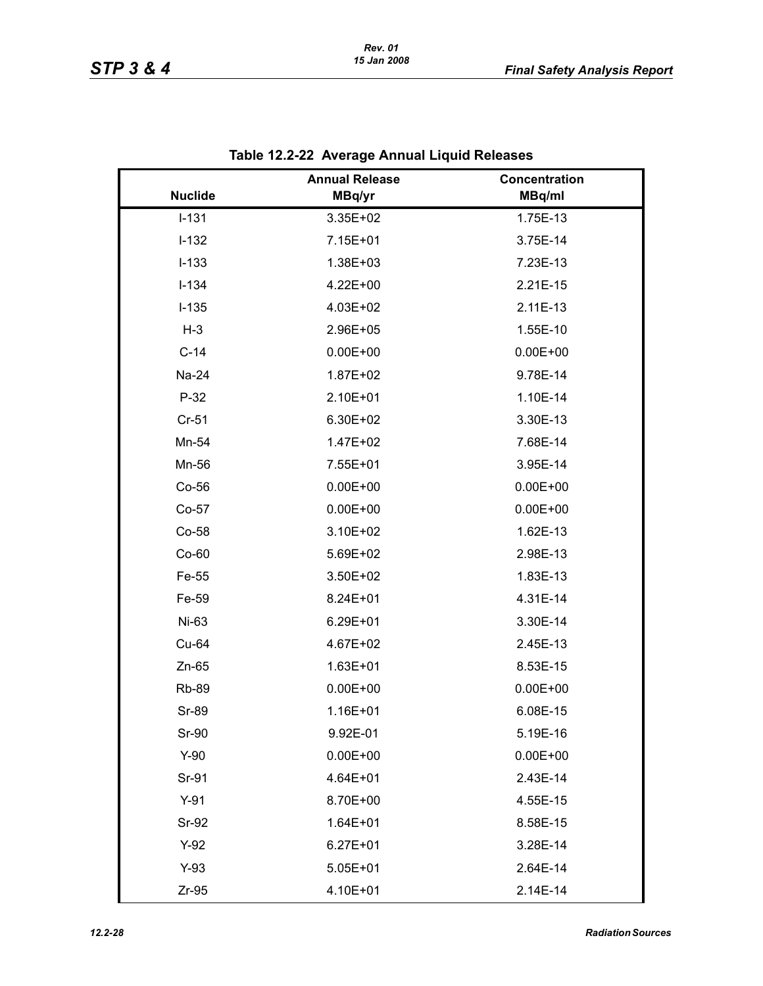|                | <b>Annual Release</b> | Concentration |
|----------------|-----------------------|---------------|
| <b>Nuclide</b> | MBq/yr                | MBq/ml        |
| $I-131$        | 3.35E+02              | 1.75E-13      |
| $I-132$        | 7.15E+01              | 3.75E-14      |
| $I-133$        | 1.38E+03              | 7.23E-13      |
| $I-134$        | 4.22E+00              | 2.21E-15      |
| $I-135$        | 4.03E+02              | 2.11E-13      |
| $H-3$          | 2.96E+05              | 1.55E-10      |
| $C-14$         | $0.00E + 00$          | $0.00E + 00$  |
| Na-24          | 1.87E+02              | 9.78E-14      |
| $P-32$         | 2.10E+01              | 1.10E-14      |
| $Cr-51$        | 6.30E+02              | 3.30E-13      |
| Mn-54          | 1.47E+02              | 7.68E-14      |
| Mn-56          | 7.55E+01              | 3.95E-14      |
| Co-56          | $0.00E + 00$          | $0.00E + 00$  |
| Co-57          | $0.00E + 00$          | $0.00E + 00$  |
| Co-58          | 3.10E+02              | 1.62E-13      |
| $Co-60$        | 5.69E+02              | 2.98E-13      |
| Fe-55          | 3.50E+02              | 1.83E-13      |
| Fe-59          | 8.24E+01              | 4.31E-14      |
| Ni-63          | $6.29E + 01$          | 3.30E-14      |
| Cu-64          | 4.67E+02              | 2.45E-13      |
| $Zn-65$        | 1.63E+01              | 8.53E-15      |
| <b>Rb-89</b>   | $0.00E + 00$          | $0.00E + 00$  |
| Sr-89          | 1.16E+01              | 6.08E-15      |
| <b>Sr-90</b>   | 9.92E-01              | 5.19E-16      |
| $Y-90$         | $0.00E + 00$          | $0.00E + 00$  |
| Sr-91          | 4.64E+01              | 2.43E-14      |
| $Y-91$         | 8.70E+00              | 4.55E-15      |
| <b>Sr-92</b>   | $1.64E + 01$          | 8.58E-15      |
| $Y-92$         | $6.27E + 01$          | 3.28E-14      |
| $Y-93$         | $5.05E + 01$          | 2.64E-14      |
| $Zr-95$        | 4.10E+01              | 2.14E-14      |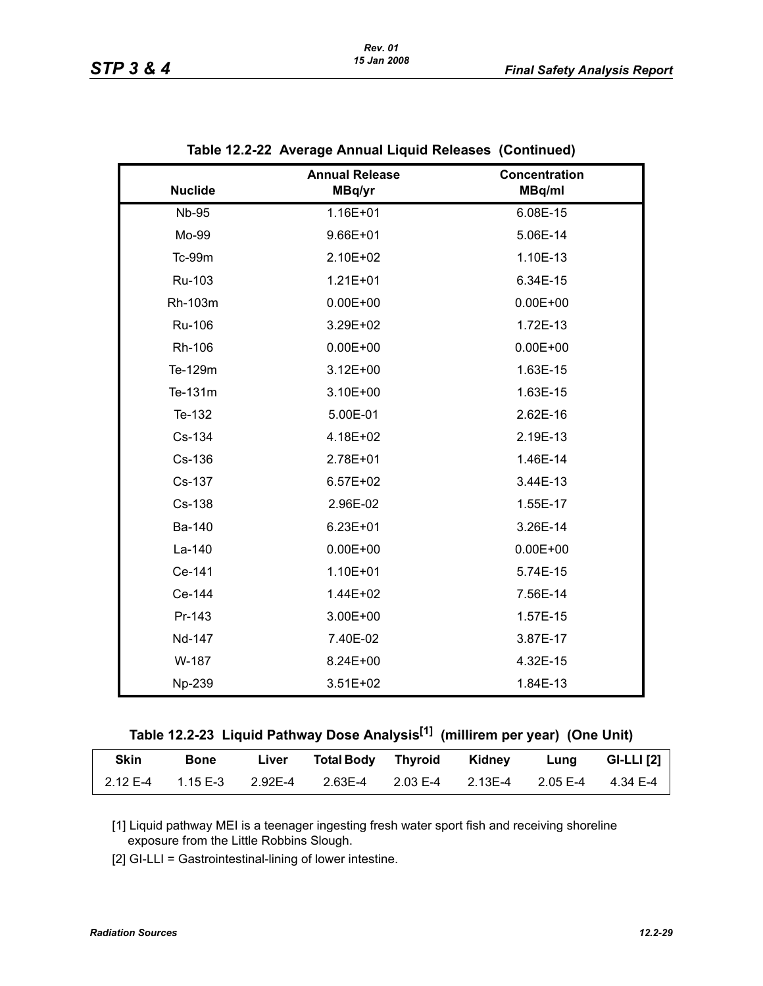|                | <b>Annual Release</b> | <b>Concentration</b> |
|----------------|-----------------------|----------------------|
| <b>Nuclide</b> | MBq/yr                | MBq/ml               |
| <b>Nb-95</b>   | 1.16E+01              | 6.08E-15             |
| Mo-99          | 9.66E+01              | 5.06E-14             |
| Tc-99m         | 2.10E+02              | 1.10E-13             |
| Ru-103         | $1.21E + 01$          | 6.34E-15             |
| Rh-103m        | $0.00E + 00$          | $0.00E + 00$         |
| Ru-106         | 3.29E+02              | 1.72E-13             |
| Rh-106         | $0.00E + 00$          | $0.00E + 00$         |
| Te-129m        | $3.12E + 00$          | 1.63E-15             |
| Te-131m        | 3.10E+00              | 1.63E-15             |
| Te-132         | 5.00E-01              | 2.62E-16             |
| Cs-134         | 4.18E+02              | 2.19E-13             |
| Cs-136         | 2.78E+01              | 1.46E-14             |
| Cs-137         | $6.57E + 02$          | 3.44E-13             |
| Cs-138         | 2.96E-02              | 1.55E-17             |
| Ba-140         | $6.23E + 01$          | 3.26E-14             |
| La-140         | $0.00E + 00$          | $0.00E + 00$         |
| Ce-141         | 1.10E+01              | 5.74E-15             |
| Ce-144         | 1.44E+02              | 7.56E-14             |
| Pr-143         | 3.00E+00              | 1.57E-15             |
| Nd-147         | 7.40E-02              | 3.87E-17             |
| W-187          | 8.24E+00              | 4.32E-15             |
| Np-239         | $3.51E+02$            | 1.84E-13             |

| Table 12.2-22 Average Annual Liquid Releases (Continued) |  |
|----------------------------------------------------------|--|
|                                                          |  |

| Table 12.2-23  Liquid Pathway Dose Analysis <sup>[1]</sup> (millirem per year)  (One Unit) |  |  |  |  |
|--------------------------------------------------------------------------------------------|--|--|--|--|
|                                                                                            |  |  |  |  |

| <b>Skin</b> | Bone | Liver | Total Body Thyroid Kidney                                                       |  | <b>Lung</b> | GI-LLI $[2]$ |
|-------------|------|-------|---------------------------------------------------------------------------------|--|-------------|--------------|
|             |      |       | $2.12E-4$ $1.15E-3$ $2.92E-4$ $2.63E-4$ $2.03E-4$ $2.13E-4$ $2.05E-4$ $4.34E-4$ |  |             |              |

[1] Liquid pathway MEI is a teenager ingesting fresh water sport fish and receiving shoreline exposure from the Little Robbins Slough.

[2] GI-LLI = Gastrointestinal-lining of lower intestine.